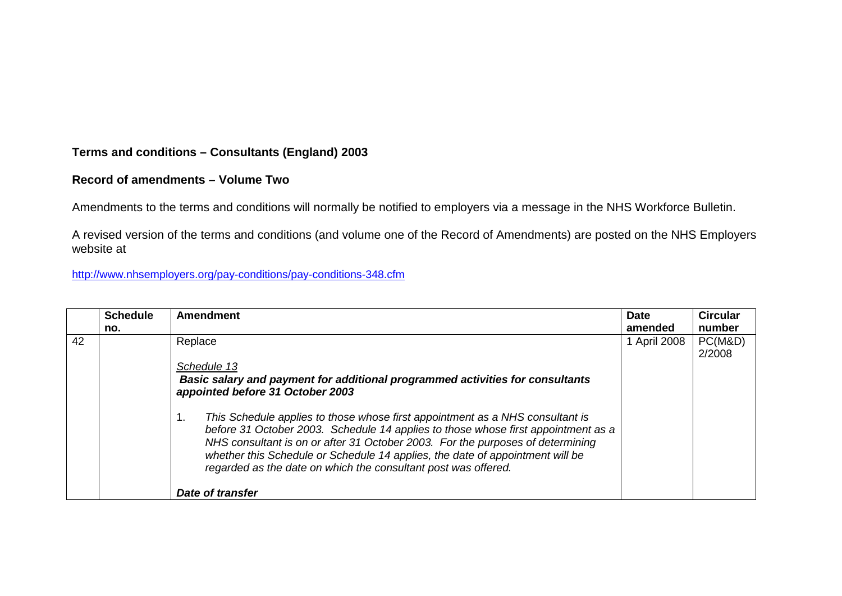## **Terms and conditions – Consultants (England) 2003**

## **Record of amendments – Volume Two**

Amendments to the terms and conditions will normally be notified to employers via a message in the NHS Workforce Bulletin.

A revised version of the terms and conditions (and volume one of the Record of Amendments) are posted on the NHS Employers website at

<http://www.nhsemployers.org/pay-conditions/pay-conditions-348.cfm>

|    | <b>Schedule</b><br>no. | Amendment                                                                                                                                                                                                                                                                                                                                                                                                                                                                                                                                                    | <b>Date</b><br>amended | <b>Circular</b><br>number |
|----|------------------------|--------------------------------------------------------------------------------------------------------------------------------------------------------------------------------------------------------------------------------------------------------------------------------------------------------------------------------------------------------------------------------------------------------------------------------------------------------------------------------------------------------------------------------------------------------------|------------------------|---------------------------|
| 42 |                        | Replace<br>Schedule 13<br>Basic salary and payment for additional programmed activities for consultants<br>appointed before 31 October 2003<br>1.<br>This Schedule applies to those whose first appointment as a NHS consultant is<br>before 31 October 2003. Schedule 14 applies to those whose first appointment as a<br>NHS consultant is on or after 31 October 2003. For the purposes of determining<br>whether this Schedule or Schedule 14 applies, the date of appointment will be<br>regarded as the date on which the consultant post was offered. | 1 April 2008           | PC(M&D)<br>2/2008         |
|    |                        | Date of transfer                                                                                                                                                                                                                                                                                                                                                                                                                                                                                                                                             |                        |                           |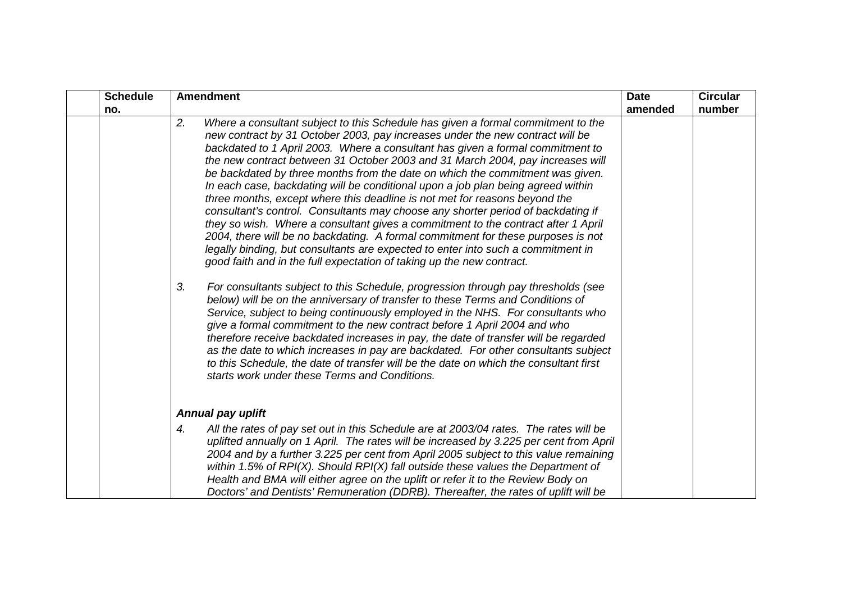| <b>Schedule</b> | <b>Amendment</b>                                                                                                                                                                                                                                                                                                                                                                                                                                                                                                                                                                                                                                                                                                                                                                                                                                                                                                                                                                                                                                                                                                                                                                                                                                                                                                                                                                                                                                                                                                                                                                                                                                                                            | <b>Date</b> | <b>Circular</b> |
|-----------------|---------------------------------------------------------------------------------------------------------------------------------------------------------------------------------------------------------------------------------------------------------------------------------------------------------------------------------------------------------------------------------------------------------------------------------------------------------------------------------------------------------------------------------------------------------------------------------------------------------------------------------------------------------------------------------------------------------------------------------------------------------------------------------------------------------------------------------------------------------------------------------------------------------------------------------------------------------------------------------------------------------------------------------------------------------------------------------------------------------------------------------------------------------------------------------------------------------------------------------------------------------------------------------------------------------------------------------------------------------------------------------------------------------------------------------------------------------------------------------------------------------------------------------------------------------------------------------------------------------------------------------------------------------------------------------------------|-------------|-----------------|
| no.             |                                                                                                                                                                                                                                                                                                                                                                                                                                                                                                                                                                                                                                                                                                                                                                                                                                                                                                                                                                                                                                                                                                                                                                                                                                                                                                                                                                                                                                                                                                                                                                                                                                                                                             | amended     | number          |
|                 | Where a consultant subject to this Schedule has given a formal commitment to the<br>2.<br>new contract by 31 October 2003, pay increases under the new contract will be<br>backdated to 1 April 2003. Where a consultant has given a formal commitment to<br>the new contract between 31 October 2003 and 31 March 2004, pay increases will<br>be backdated by three months from the date on which the commitment was given.<br>In each case, backdating will be conditional upon a job plan being agreed within<br>three months, except where this deadline is not met for reasons beyond the<br>consultant's control. Consultants may choose any shorter period of backdating if<br>they so wish. Where a consultant gives a commitment to the contract after 1 April<br>2004, there will be no backdating. A formal commitment for these purposes is not<br>legally binding, but consultants are expected to enter into such a commitment in<br>good faith and in the full expectation of taking up the new contract.<br>3.<br>For consultants subject to this Schedule, progression through pay thresholds (see<br>below) will be on the anniversary of transfer to these Terms and Conditions of<br>Service, subject to being continuously employed in the NHS. For consultants who<br>give a formal commitment to the new contract before 1 April 2004 and who<br>therefore receive backdated increases in pay, the date of transfer will be regarded<br>as the date to which increases in pay are backdated. For other consultants subject<br>to this Schedule, the date of transfer will be the date on which the consultant first<br>starts work under these Terms and Conditions. |             |                 |
|                 | Annual pay uplift                                                                                                                                                                                                                                                                                                                                                                                                                                                                                                                                                                                                                                                                                                                                                                                                                                                                                                                                                                                                                                                                                                                                                                                                                                                                                                                                                                                                                                                                                                                                                                                                                                                                           |             |                 |
|                 | All the rates of pay set out in this Schedule are at 2003/04 rates. The rates will be<br>4.<br>uplifted annually on 1 April. The rates will be increased by 3.225 per cent from April<br>2004 and by a further 3.225 per cent from April 2005 subject to this value remaining<br>within 1.5% of RPI(X). Should RPI(X) fall outside these values the Department of<br>Health and BMA will either agree on the uplift or refer it to the Review Body on<br>Doctors' and Dentists' Remuneration (DDRB). Thereafter, the rates of uplift will be                                                                                                                                                                                                                                                                                                                                                                                                                                                                                                                                                                                                                                                                                                                                                                                                                                                                                                                                                                                                                                                                                                                                                |             |                 |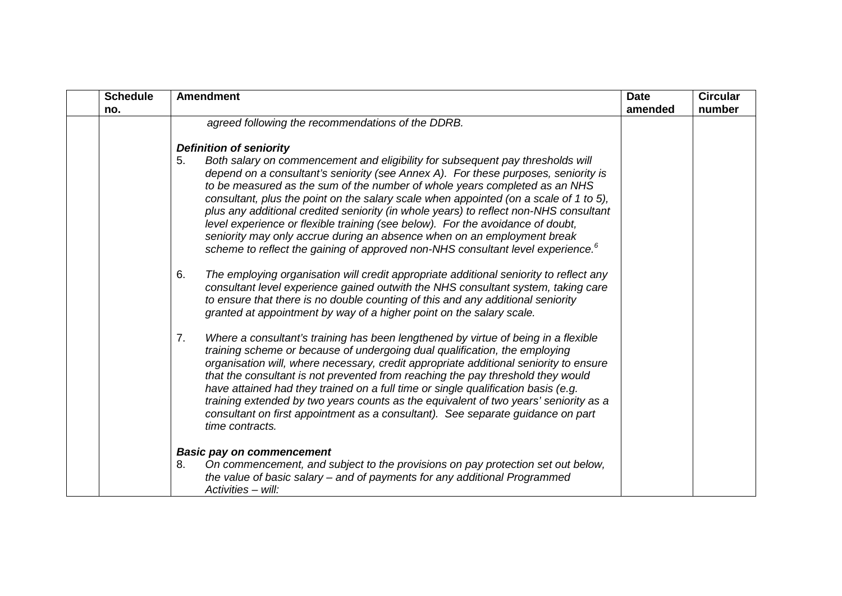| <b>Schedule</b> | <b>Amendment</b>                                                                                                                                                                                                                                                                                                                                                                                                                                                                                                                                                                                                                                                                                                                                                                     | <b>Date</b> | <b>Circular</b> |
|-----------------|--------------------------------------------------------------------------------------------------------------------------------------------------------------------------------------------------------------------------------------------------------------------------------------------------------------------------------------------------------------------------------------------------------------------------------------------------------------------------------------------------------------------------------------------------------------------------------------------------------------------------------------------------------------------------------------------------------------------------------------------------------------------------------------|-------------|-----------------|
| no.             |                                                                                                                                                                                                                                                                                                                                                                                                                                                                                                                                                                                                                                                                                                                                                                                      | amended     | number          |
|                 | agreed following the recommendations of the DDRB.<br><b>Definition of seniority</b><br>Both salary on commencement and eligibility for subsequent pay thresholds will<br>5.<br>depend on a consultant's seniority (see Annex A). For these purposes, seniority is<br>to be measured as the sum of the number of whole years completed as an NHS<br>consultant, plus the point on the salary scale when appointed (on a scale of 1 to 5),<br>plus any additional credited seniority (in whole years) to reflect non-NHS consultant<br>level experience or flexible training (see below). For the avoidance of doubt,<br>seniority may only accrue during an absence when on an employment break<br>scheme to reflect the gaining of approved non-NHS consultant level experience. $6$ |             |                 |
|                 | 6.<br>The employing organisation will credit appropriate additional seniority to reflect any<br>consultant level experience gained outwith the NHS consultant system, taking care<br>to ensure that there is no double counting of this and any additional seniority<br>granted at appointment by way of a higher point on the salary scale.                                                                                                                                                                                                                                                                                                                                                                                                                                         |             |                 |
|                 | Where a consultant's training has been lengthened by virtue of being in a flexible<br>7.<br>training scheme or because of undergoing dual qualification, the employing<br>organisation will, where necessary, credit appropriate additional seniority to ensure<br>that the consultant is not prevented from reaching the pay threshold they would<br>have attained had they trained on a full time or single qualification basis (e.g.<br>training extended by two years counts as the equivalent of two years' seniority as a<br>consultant on first appointment as a consultant). See separate guidance on part<br>time contracts.                                                                                                                                                |             |                 |
|                 | <b>Basic pay on commencement</b><br>8.<br>On commencement, and subject to the provisions on pay protection set out below,<br>the value of basic salary $-$ and of payments for any additional Programmed<br>Activities - will:                                                                                                                                                                                                                                                                                                                                                                                                                                                                                                                                                       |             |                 |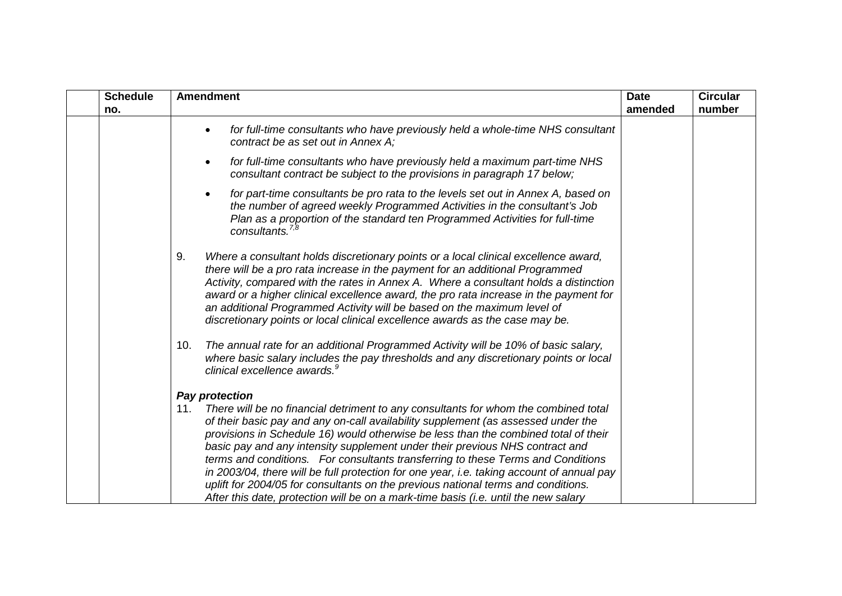| <b>Schedule</b> | <b>Amendment</b>                                                                                                                                                                                                                                                                                                                                                                                                                                                                                                                                                                                                                                                                                                    | <b>Date</b> | <b>Circular</b> |
|-----------------|---------------------------------------------------------------------------------------------------------------------------------------------------------------------------------------------------------------------------------------------------------------------------------------------------------------------------------------------------------------------------------------------------------------------------------------------------------------------------------------------------------------------------------------------------------------------------------------------------------------------------------------------------------------------------------------------------------------------|-------------|-----------------|
| no.             |                                                                                                                                                                                                                                                                                                                                                                                                                                                                                                                                                                                                                                                                                                                     | amended     | number          |
|                 | for full-time consultants who have previously held a whole-time NHS consultant<br>$\bullet$<br>contract be as set out in Annex A;                                                                                                                                                                                                                                                                                                                                                                                                                                                                                                                                                                                   |             |                 |
|                 | for full-time consultants who have previously held a maximum part-time NHS<br>$\bullet$<br>consultant contract be subject to the provisions in paragraph 17 below;                                                                                                                                                                                                                                                                                                                                                                                                                                                                                                                                                  |             |                 |
|                 | for part-time consultants be pro rata to the levels set out in Annex A, based on<br>the number of agreed weekly Programmed Activities in the consultant's Job<br>Plan as a proportion of the standard ten Programmed Activities for full-time<br>consultants. $^{7,8}$                                                                                                                                                                                                                                                                                                                                                                                                                                              |             |                 |
|                 | Where a consultant holds discretionary points or a local clinical excellence award,<br>9.<br>there will be a pro rata increase in the payment for an additional Programmed<br>Activity, compared with the rates in Annex A. Where a consultant holds a distinction<br>award or a higher clinical excellence award, the pro rata increase in the payment for<br>an additional Programmed Activity will be based on the maximum level of<br>discretionary points or local clinical excellence awards as the case may be.                                                                                                                                                                                              |             |                 |
|                 | The annual rate for an additional Programmed Activity will be 10% of basic salary,<br>10.<br>where basic salary includes the pay thresholds and any discretionary points or local<br>clinical excellence awards. <sup>9</sup>                                                                                                                                                                                                                                                                                                                                                                                                                                                                                       |             |                 |
|                 | <b>Pay protection</b>                                                                                                                                                                                                                                                                                                                                                                                                                                                                                                                                                                                                                                                                                               |             |                 |
|                 | There will be no financial detriment to any consultants for whom the combined total<br>11.<br>of their basic pay and any on-call availability supplement (as assessed under the<br>provisions in Schedule 16) would otherwise be less than the combined total of their<br>basic pay and any intensity supplement under their previous NHS contract and<br>terms and conditions. For consultants transferring to these Terms and Conditions<br>in 2003/04, there will be full protection for one year, i.e. taking account of annual pay<br>uplift for 2004/05 for consultants on the previous national terms and conditions.<br>After this date, protection will be on a mark-time basis (i.e. until the new salary |             |                 |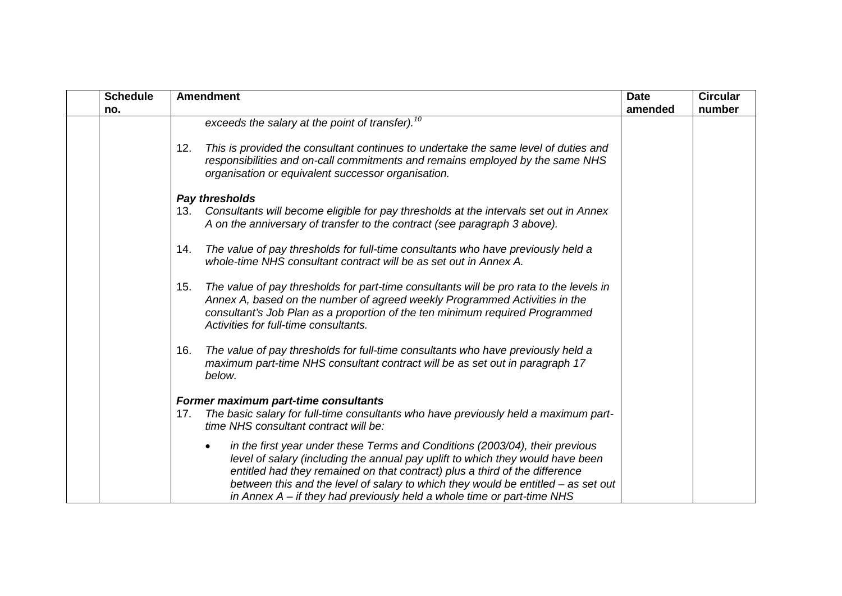| <b>Schedule</b> | <b>Amendment</b>                                                                                                                                                                                                                                                                                                                                                                                                             | <b>Date</b> | <b>Circular</b> |
|-----------------|------------------------------------------------------------------------------------------------------------------------------------------------------------------------------------------------------------------------------------------------------------------------------------------------------------------------------------------------------------------------------------------------------------------------------|-------------|-----------------|
| no.             |                                                                                                                                                                                                                                                                                                                                                                                                                              | amended     | number          |
|                 | exceeds the salary at the point of transfer). <sup>10</sup>                                                                                                                                                                                                                                                                                                                                                                  |             |                 |
|                 | This is provided the consultant continues to undertake the same level of duties and<br>12.<br>responsibilities and on-call commitments and remains employed by the same NHS<br>organisation or equivalent successor organisation.                                                                                                                                                                                            |             |                 |
|                 | Pay thresholds                                                                                                                                                                                                                                                                                                                                                                                                               |             |                 |
|                 | Consultants will become eligible for pay thresholds at the intervals set out in Annex<br>13.<br>A on the anniversary of transfer to the contract (see paragraph 3 above).                                                                                                                                                                                                                                                    |             |                 |
|                 | The value of pay thresholds for full-time consultants who have previously held a<br>14.<br>whole-time NHS consultant contract will be as set out in Annex A.                                                                                                                                                                                                                                                                 |             |                 |
|                 | The value of pay thresholds for part-time consultants will be pro rata to the levels in<br>15.<br>Annex A, based on the number of agreed weekly Programmed Activities in the<br>consultant's Job Plan as a proportion of the ten minimum required Programmed<br>Activities for full-time consultants.                                                                                                                        |             |                 |
|                 | The value of pay thresholds for full-time consultants who have previously held a<br>16.<br>maximum part-time NHS consultant contract will be as set out in paragraph 17<br>below.                                                                                                                                                                                                                                            |             |                 |
|                 | Former maximum part-time consultants                                                                                                                                                                                                                                                                                                                                                                                         |             |                 |
|                 | The basic salary for full-time consultants who have previously held a maximum part-<br>17.<br>time NHS consultant contract will be:                                                                                                                                                                                                                                                                                          |             |                 |
|                 | in the first year under these Terms and Conditions (2003/04), their previous<br>$\bullet$<br>level of salary (including the annual pay uplift to which they would have been<br>entitled had they remained on that contract) plus a third of the difference<br>between this and the level of salary to which they would be entitled – as set out<br>in Annex $A - i f$ they had previously held a whole time or part-time NHS |             |                 |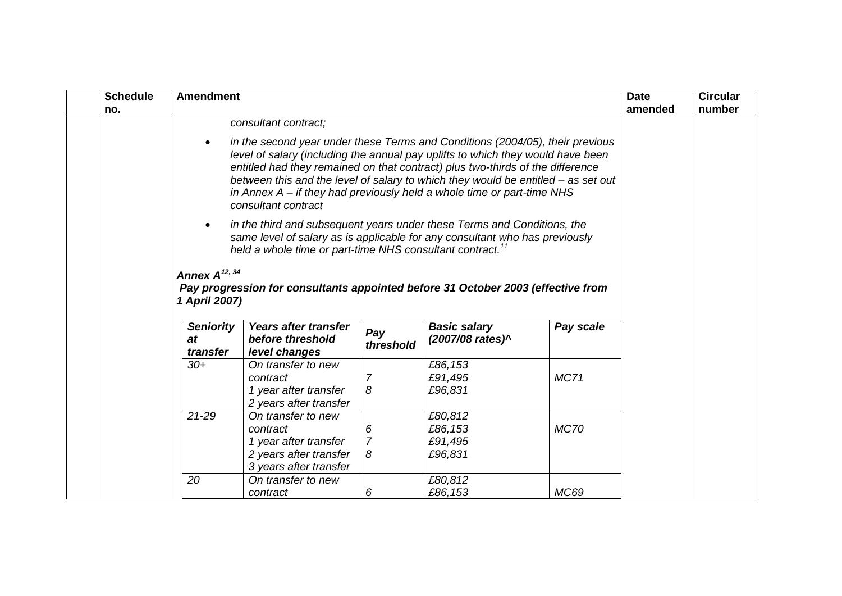| <b>Schedule</b><br>no. | <b>Amendment</b>                                                                                                                                                                                                                                                                 |                                                                                                                                                                                                                                                                                                                                                                                                                                             |                     |                    |             | <b>Date</b><br>amended | <b>Circular</b><br>number |
|------------------------|----------------------------------------------------------------------------------------------------------------------------------------------------------------------------------------------------------------------------------------------------------------------------------|---------------------------------------------------------------------------------------------------------------------------------------------------------------------------------------------------------------------------------------------------------------------------------------------------------------------------------------------------------------------------------------------------------------------------------------------|---------------------|--------------------|-------------|------------------------|---------------------------|
|                        |                                                                                                                                                                                                                                                                                  | consultant contract;                                                                                                                                                                                                                                                                                                                                                                                                                        |                     |                    |             |                        |                           |
|                        |                                                                                                                                                                                                                                                                                  | in the second year under these Terms and Conditions (2004/05), their previous<br>level of salary (including the annual pay uplifts to which they would have been<br>entitled had they remained on that contract) plus two-thirds of the difference<br>between this and the level of salary to which they would be entitled - as set out<br>in Annex $A - i f$ they had previously held a whole time or part-time NHS<br>consultant contract |                     |                    |             |                        |                           |
|                        | $\bullet$                                                                                                                                                                                                                                                                        | in the third and subsequent years under these Terms and Conditions, the<br>same level of salary as is applicable for any consultant who has previously                                                                                                                                                                                                                                                                                      |                     |                    |             |                        |                           |
|                        | held a whole time or part-time NHS consultant contract. <sup>11</sup><br>Annex $A^{12, 34}$<br>Pay progression for consultants appointed before 31 October 2003 (effective from<br>1 April 2007)<br><b>Basic salary</b><br><b>Seniority</b><br>Years after transfer<br>Pay scale |                                                                                                                                                                                                                                                                                                                                                                                                                                             |                     |                    |             |                        |                           |
|                        | at<br>transfer                                                                                                                                                                                                                                                                   | before threshold<br>level changes                                                                                                                                                                                                                                                                                                                                                                                                           | Pay<br>threshold    | (2007/08 rates)^   |             |                        |                           |
|                        | $30+$                                                                                                                                                                                                                                                                            | On transfer to new                                                                                                                                                                                                                                                                                                                                                                                                                          |                     | £86,153            |             |                        |                           |
|                        |                                                                                                                                                                                                                                                                                  | contract<br>1 year after transfer                                                                                                                                                                                                                                                                                                                                                                                                           | 7<br>8              | £91,495<br>£96,831 | <b>MC71</b> |                        |                           |
|                        |                                                                                                                                                                                                                                                                                  | 2 years after transfer                                                                                                                                                                                                                                                                                                                                                                                                                      |                     |                    |             |                        |                           |
|                        | $21 - 29$                                                                                                                                                                                                                                                                        | On transfer to new                                                                                                                                                                                                                                                                                                                                                                                                                          |                     | £80,812            |             |                        |                           |
|                        |                                                                                                                                                                                                                                                                                  | contract                                                                                                                                                                                                                                                                                                                                                                                                                                    | 6                   | £86,153            | <b>MC70</b> |                        |                           |
|                        |                                                                                                                                                                                                                                                                                  | 1 year after transfer<br>2 years after transfer                                                                                                                                                                                                                                                                                                                                                                                             | $\overline{7}$<br>8 | £91,495<br>£96,831 |             |                        |                           |
|                        | 20                                                                                                                                                                                                                                                                               | 3 years after transfer<br>On transfer to new                                                                                                                                                                                                                                                                                                                                                                                                |                     |                    |             |                        |                           |
|                        |                                                                                                                                                                                                                                                                                  | contract                                                                                                                                                                                                                                                                                                                                                                                                                                    | 6                   | £80,812<br>£86,153 | <b>MC69</b> |                        |                           |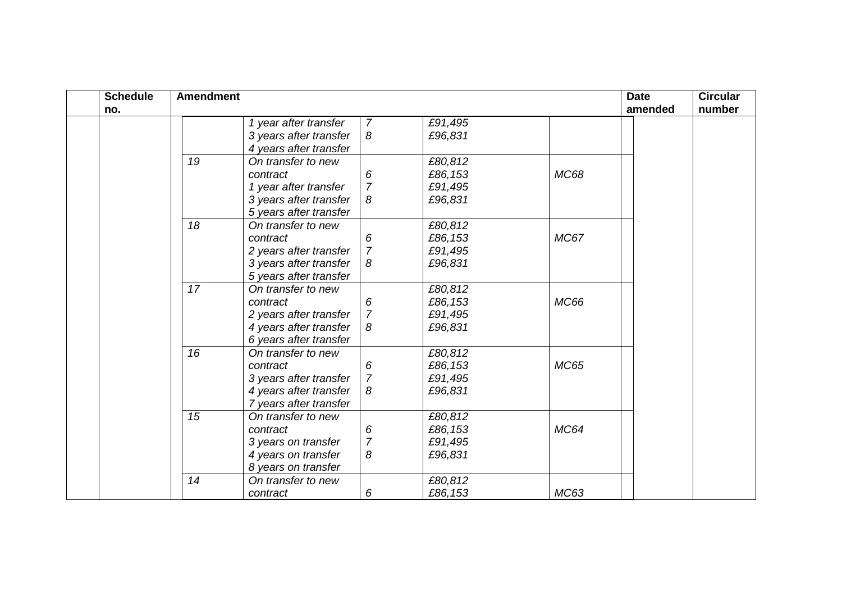| <b>Schedule</b> | <b>Amendment</b> |                        |                |         |             | <b>Date</b> | <b>Circular</b> |
|-----------------|------------------|------------------------|----------------|---------|-------------|-------------|-----------------|
| no.             |                  |                        |                |         |             | amended     | number          |
|                 |                  | 1 year after transfer  | $\overline{7}$ | £91,495 |             |             |                 |
|                 |                  | 3 years after transfer | 8              | £96,831 |             |             |                 |
|                 |                  | 4 years after transfer |                |         |             |             |                 |
|                 | 19               | On transfer to new     |                | £80,812 |             |             |                 |
|                 |                  | contract               | 6              | £86,153 | <b>MC68</b> |             |                 |
|                 |                  | 1 year after transfer  | $\overline{7}$ | £91,495 |             |             |                 |
|                 |                  | 3 years after transfer | 8              | £96,831 |             |             |                 |
|                 |                  | 5 years after transfer |                |         |             |             |                 |
|                 | 18               | On transfer to new     |                | £80,812 |             |             |                 |
|                 |                  | contract               | 6              | £86,153 | <b>MC67</b> |             |                 |
|                 |                  | 2 years after transfer | $\overline{7}$ | £91,495 |             |             |                 |
|                 |                  | 3 years after transfer | 8              | £96,831 |             |             |                 |
|                 |                  | 5 years after transfer |                |         |             |             |                 |
|                 | 17               | On transfer to new     |                | £80,812 |             |             |                 |
|                 |                  | contract               | 6              | £86,153 | MC66        |             |                 |
|                 |                  | 2 years after transfer | $\overline{7}$ | £91,495 |             |             |                 |
|                 |                  | 4 years after transfer | 8              | £96,831 |             |             |                 |
|                 |                  | 6 years after transfer |                |         |             |             |                 |
|                 | 16               | On transfer to new     |                | £80,812 |             |             |                 |
|                 |                  | contract               | 6              | £86,153 | <b>MC65</b> |             |                 |
|                 |                  | 3 years after transfer | $\overline{7}$ | £91,495 |             |             |                 |
|                 |                  | 4 years after transfer | 8              | £96,831 |             |             |                 |
|                 |                  | 7 years after transfer |                |         |             |             |                 |
|                 | 15               | On transfer to new     |                | £80,812 |             |             |                 |
|                 |                  | contract               | 6              | £86,153 | <b>MC64</b> |             |                 |
|                 |                  | 3 years on transfer    | $\overline{7}$ | £91,495 |             |             |                 |
|                 |                  | 4 years on transfer    | 8              | £96,831 |             |             |                 |
|                 |                  | 8 years on transfer    |                |         |             |             |                 |
|                 | 14               | On transfer to new     |                | £80,812 |             |             |                 |
|                 |                  | contract               | 6              | £86,153 | MC63        |             |                 |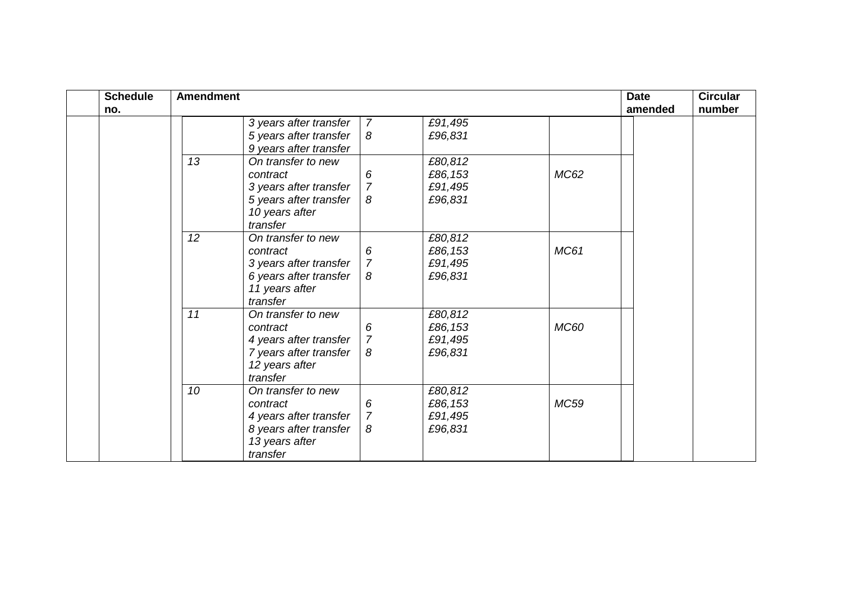| <b>Schedule</b> | <b>Amendment</b> |                        |                |         |             | <b>Date</b> | <b>Circular</b> |
|-----------------|------------------|------------------------|----------------|---------|-------------|-------------|-----------------|
| no.             |                  |                        |                |         |             | amended     | number          |
|                 |                  | 3 years after transfer | $\overline{7}$ | £91,495 |             |             |                 |
|                 |                  | 5 years after transfer | 8              | £96,831 |             |             |                 |
|                 |                  | 9 years after transfer |                |         |             |             |                 |
|                 | 13               | On transfer to new     |                | £80,812 |             |             |                 |
|                 |                  | contract               | 6              | £86,153 | MC62        |             |                 |
|                 |                  | 3 years after transfer | $\overline{7}$ | £91,495 |             |             |                 |
|                 |                  | 5 years after transfer | 8              | £96,831 |             |             |                 |
|                 |                  | 10 years after         |                |         |             |             |                 |
|                 |                  | transfer               |                |         |             |             |                 |
|                 | 12               | On transfer to new     |                | £80,812 |             |             |                 |
|                 |                  | contract               | 6              | £86,153 | <b>MC61</b> |             |                 |
|                 |                  | 3 years after transfer | $\overline{7}$ | £91,495 |             |             |                 |
|                 |                  | 6 years after transfer | 8              | £96,831 |             |             |                 |
|                 |                  | 11 years after         |                |         |             |             |                 |
|                 |                  | transfer               |                |         |             |             |                 |
|                 | 11               | On transfer to new     |                | £80,812 |             |             |                 |
|                 |                  | contract               | 6              | £86,153 | <b>MC60</b> |             |                 |
|                 |                  | 4 years after transfer | $\overline{7}$ | £91,495 |             |             |                 |
|                 |                  | 7 years after transfer | 8              | £96,831 |             |             |                 |
|                 |                  | 12 years after         |                |         |             |             |                 |
|                 |                  | transfer               |                |         |             |             |                 |
|                 | 10               | On transfer to new     |                | £80,812 |             |             |                 |
|                 |                  | contract               | 6              | £86,153 | <b>MC59</b> |             |                 |
|                 |                  | 4 years after transfer | $\overline{7}$ | £91,495 |             |             |                 |
|                 |                  | 8 years after transfer | 8              | £96,831 |             |             |                 |
|                 |                  | 13 years after         |                |         |             |             |                 |
|                 |                  | transfer               |                |         |             |             |                 |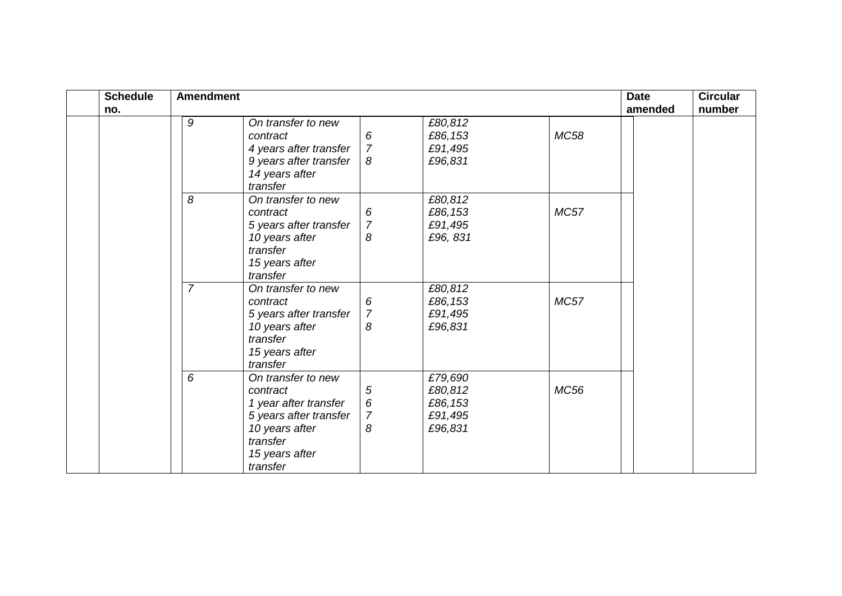| <b>Schedule</b><br>no. | <b>Amendment</b> |                                                                                                                                               |                                                       |                                                     |             | <b>Date</b><br>amended | <b>Circular</b><br>number |
|------------------------|------------------|-----------------------------------------------------------------------------------------------------------------------------------------------|-------------------------------------------------------|-----------------------------------------------------|-------------|------------------------|---------------------------|
|                        | 9                | On transfer to new<br>contract<br>4 years after transfer<br>9 years after transfer<br>14 years after<br>transfer                              | 6<br>$\overline{7}$<br>8                              | £80,812<br>£86,153<br>£91,495<br>£96,831            | <b>MC58</b> |                        |                           |
|                        | 8                | On transfer to new<br>contract<br>5 years after transfer<br>10 years after<br>transfer<br>15 years after<br>transfer                          | 6<br>$\overline{7}$<br>8                              | £80,812<br>£86,153<br>£91,495<br>£96, 831           | <b>MC57</b> |                        |                           |
|                        | $\overline{7}$   | On transfer to new<br>contract<br>5 years after transfer<br>10 years after<br>transfer<br>15 years after<br>transfer                          | 6<br>$\overline{7}$<br>8                              | £80,812<br>£86,153<br>£91,495<br>£96,831            | <b>MC57</b> |                        |                           |
|                        | 6                | On transfer to new<br>contract<br>1 year after transfer<br>5 years after transfer<br>10 years after<br>transfer<br>15 years after<br>transfer | $\sqrt{5}$<br>$\boldsymbol{6}$<br>$\overline{7}$<br>8 | £79,690<br>£80,812<br>£86,153<br>£91,495<br>£96,831 | MC56        |                        |                           |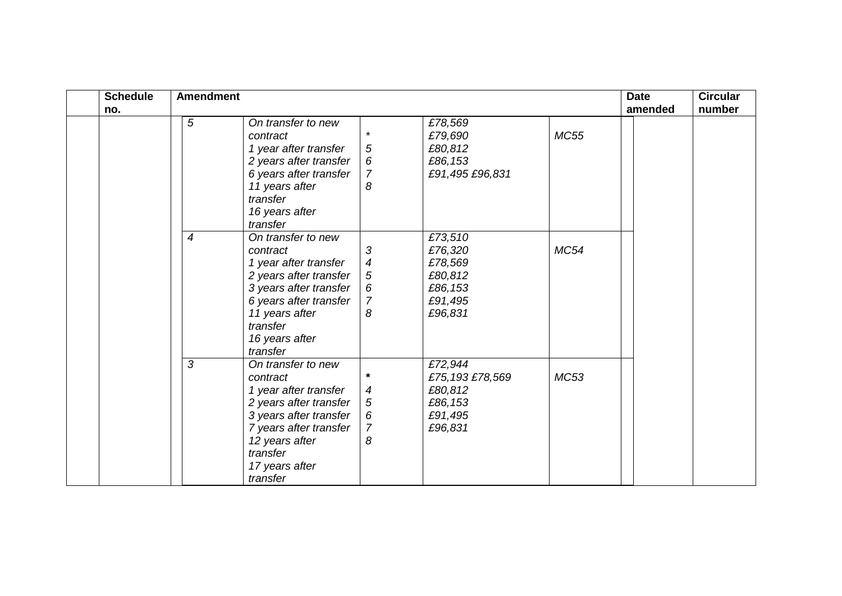| <b>Schedule</b> | <b>Amendment</b> |                        |                  |                 |             | <b>Date</b> | <b>Circular</b> |
|-----------------|------------------|------------------------|------------------|-----------------|-------------|-------------|-----------------|
| no.             |                  |                        |                  |                 |             | amended     | number          |
|                 | 5                | On transfer to new     |                  | £78,569         |             |             |                 |
|                 |                  | contract               | $\star$          | £79,690         | <b>MC55</b> |             |                 |
|                 |                  | 1 year after transfer  | $\sqrt{5}$       | £80,812         |             |             |                 |
|                 |                  | 2 years after transfer | $\boldsymbol{6}$ | £86,153         |             |             |                 |
|                 |                  | 6 years after transfer | $\overline{7}$   | £91,495 £96,831 |             |             |                 |
|                 |                  | 11 years after         | 8                |                 |             |             |                 |
|                 |                  | transfer               |                  |                 |             |             |                 |
|                 |                  | 16 years after         |                  |                 |             |             |                 |
|                 |                  | transfer               |                  |                 |             |             |                 |
|                 | $\overline{4}$   | On transfer to new     |                  | £73,510         |             |             |                 |
|                 |                  | contract               | 3                | £76,320         | <b>MC54</b> |             |                 |
|                 |                  | 1 year after transfer  | $\boldsymbol{4}$ | £78,569         |             |             |                 |
|                 |                  | 2 years after transfer | $\sqrt{5}$       | £80,812         |             |             |                 |
|                 |                  | 3 years after transfer | $\boldsymbol{6}$ | £86,153         |             |             |                 |
|                 |                  | 6 years after transfer | $\overline{7}$   | £91,495         |             |             |                 |
|                 |                  | 11 years after         | 8                | £96,831         |             |             |                 |
|                 |                  | transfer               |                  |                 |             |             |                 |
|                 |                  | 16 years after         |                  |                 |             |             |                 |
|                 |                  | transfer               |                  |                 |             |             |                 |
|                 | 3                | On transfer to new     |                  | £72,944         |             |             |                 |
|                 |                  | contract               | $\star$          | £75,193 £78,569 | <b>MC53</b> |             |                 |
|                 |                  | 1 year after transfer  | 4                | £80,812         |             |             |                 |
|                 |                  | 2 years after transfer | $\sqrt{5}$       | £86,153         |             |             |                 |
|                 |                  | 3 years after transfer | 6                | £91,495         |             |             |                 |
|                 |                  | 7 years after transfer | 7                | £96,831         |             |             |                 |
|                 |                  | 12 years after         | 8                |                 |             |             |                 |
|                 |                  | transfer               |                  |                 |             |             |                 |
|                 |                  | 17 years after         |                  |                 |             |             |                 |
|                 |                  | transfer               |                  |                 |             |             |                 |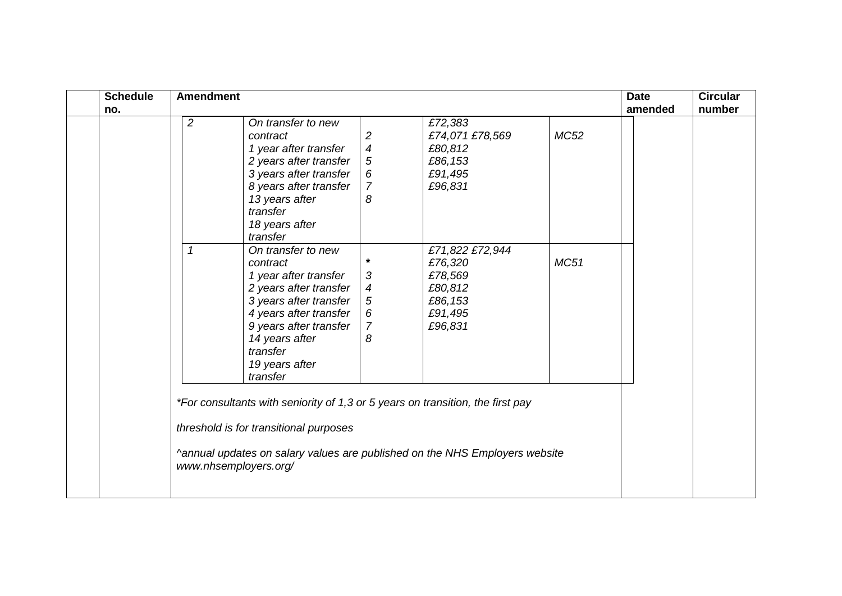| <b>Schedule</b> | <b>Amendment</b>               |                                                                                                                                                                                                                         |                                                                                     |                                                                                           |             | <b>Date</b> | <b>Circular</b> |
|-----------------|--------------------------------|-------------------------------------------------------------------------------------------------------------------------------------------------------------------------------------------------------------------------|-------------------------------------------------------------------------------------|-------------------------------------------------------------------------------------------|-------------|-------------|-----------------|
| no.             |                                |                                                                                                                                                                                                                         |                                                                                     |                                                                                           |             |             |                 |
|                 | $\overline{2}$<br>$\mathcal I$ | On transfer to new<br>contract<br>1 year after transfer<br>2 years after transfer<br>3 years after transfer<br>8 years after transfer<br>13 years after<br>transfer<br>18 years after<br>transfer<br>On transfer to new | $\overline{2}$<br>$\overline{4}$<br>$\sqrt{5}$<br>6<br>$\overline{7}$<br>8          | £72,383<br>£74,071 £78,569<br>£80,812<br>£86,153<br>£91,495<br>£96,831<br>£71,822 £72,944 | <b>MC52</b> | amended     | number          |
|                 |                                | contract<br>1 year after transfer<br>2 years after transfer<br>3 years after transfer<br>4 years after transfer<br>9 years after transfer<br>14 years after<br>transfer<br>19 years after<br>transfer                   | $\star$<br>$\sqrt{3}$<br>$\boldsymbol{4}$<br>$\sqrt{5}$<br>6<br>$\overline{7}$<br>8 | £76,320<br>£78,569<br>£80,812<br>£86,153<br>£91,495<br>£96,831                            | <b>MC51</b> |             |                 |
|                 | www.nhsemployers.org/          | *For consultants with seniority of 1,3 or 5 years on transition, the first pay<br>threshold is for transitional purposes                                                                                                |                                                                                     | ^annual updates on salary values are published on the NHS Employers website               |             |             |                 |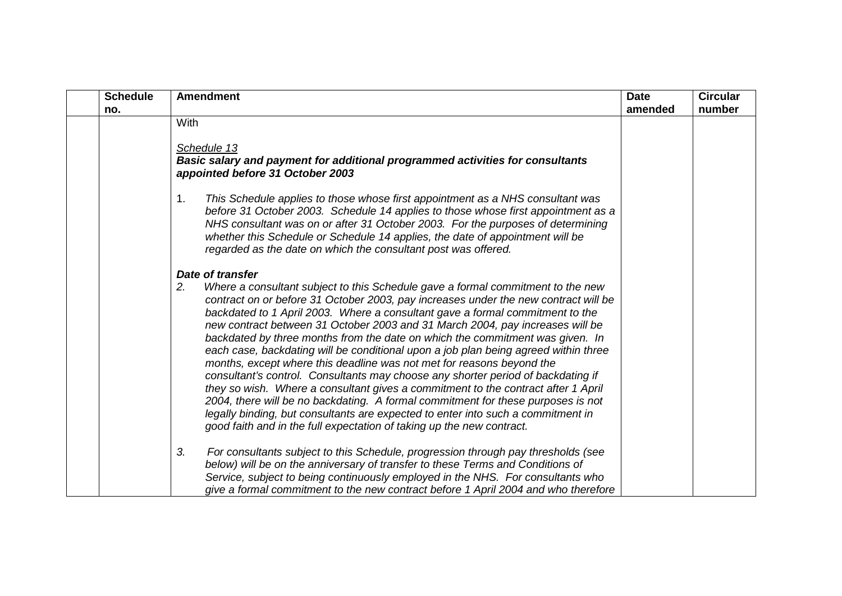| <b>Schedule</b> | <b>Amendment</b>                                                                                                                                                                                                                                                                                                                                                                                                                                                                                                                                                                                                                                                                                                                                                                                                                                                                                                                                                                                                          | <b>Date</b> | <b>Circular</b> |
|-----------------|---------------------------------------------------------------------------------------------------------------------------------------------------------------------------------------------------------------------------------------------------------------------------------------------------------------------------------------------------------------------------------------------------------------------------------------------------------------------------------------------------------------------------------------------------------------------------------------------------------------------------------------------------------------------------------------------------------------------------------------------------------------------------------------------------------------------------------------------------------------------------------------------------------------------------------------------------------------------------------------------------------------------------|-------------|-----------------|
| no.             |                                                                                                                                                                                                                                                                                                                                                                                                                                                                                                                                                                                                                                                                                                                                                                                                                                                                                                                                                                                                                           | amended     | number          |
|                 | With                                                                                                                                                                                                                                                                                                                                                                                                                                                                                                                                                                                                                                                                                                                                                                                                                                                                                                                                                                                                                      |             |                 |
|                 | Schedule 13<br><b>Basic salary and payment for additional programmed activities for consultants</b><br>appointed before 31 October 2003                                                                                                                                                                                                                                                                                                                                                                                                                                                                                                                                                                                                                                                                                                                                                                                                                                                                                   |             |                 |
|                 | This Schedule applies to those whose first appointment as a NHS consultant was<br>1.<br>before 31 October 2003. Schedule 14 applies to those whose first appointment as a<br>NHS consultant was on or after 31 October 2003. For the purposes of determining<br>whether this Schedule or Schedule 14 applies, the date of appointment will be<br>regarded as the date on which the consultant post was offered.                                                                                                                                                                                                                                                                                                                                                                                                                                                                                                                                                                                                           |             |                 |
|                 | Date of transfer                                                                                                                                                                                                                                                                                                                                                                                                                                                                                                                                                                                                                                                                                                                                                                                                                                                                                                                                                                                                          |             |                 |
|                 | Where a consultant subject to this Schedule gave a formal commitment to the new<br>2.<br>contract on or before 31 October 2003, pay increases under the new contract will be<br>backdated to 1 April 2003. Where a consultant gave a formal commitment to the<br>new contract between 31 October 2003 and 31 March 2004, pay increases will be<br>backdated by three months from the date on which the commitment was given. In<br>each case, backdating will be conditional upon a job plan being agreed within three<br>months, except where this deadline was not met for reasons beyond the<br>consultant's control. Consultants may choose any shorter period of backdating if<br>they so wish. Where a consultant gives a commitment to the contract after 1 April<br>2004, there will be no backdating. A formal commitment for these purposes is not<br>legally binding, but consultants are expected to enter into such a commitment in<br>good faith and in the full expectation of taking up the new contract. |             |                 |
|                 | 3.<br>For consultants subject to this Schedule, progression through pay thresholds (see<br>below) will be on the anniversary of transfer to these Terms and Conditions of<br>Service, subject to being continuously employed in the NHS. For consultants who<br>give a formal commitment to the new contract before 1 April 2004 and who therefore                                                                                                                                                                                                                                                                                                                                                                                                                                                                                                                                                                                                                                                                        |             |                 |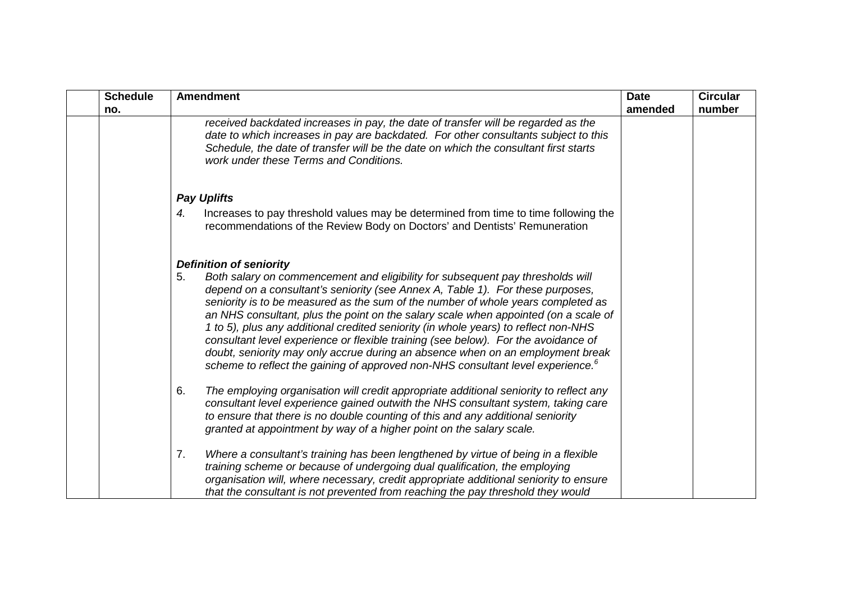| <b>Schedule</b> | <b>Amendment</b>                                                                                                                                                                                                                                                                                                                                                                                                                                                                                                                                                                                                                                                                                                | <b>Date</b> | <b>Circular</b> |
|-----------------|-----------------------------------------------------------------------------------------------------------------------------------------------------------------------------------------------------------------------------------------------------------------------------------------------------------------------------------------------------------------------------------------------------------------------------------------------------------------------------------------------------------------------------------------------------------------------------------------------------------------------------------------------------------------------------------------------------------------|-------------|-----------------|
| no.             |                                                                                                                                                                                                                                                                                                                                                                                                                                                                                                                                                                                                                                                                                                                 | amended     | number          |
|                 | received backdated increases in pay, the date of transfer will be regarded as the<br>date to which increases in pay are backdated. For other consultants subject to this<br>Schedule, the date of transfer will be the date on which the consultant first starts<br>work under these Terms and Conditions.                                                                                                                                                                                                                                                                                                                                                                                                      |             |                 |
|                 | <b>Pay Uplifts</b>                                                                                                                                                                                                                                                                                                                                                                                                                                                                                                                                                                                                                                                                                              |             |                 |
|                 | Increases to pay threshold values may be determined from time to time following the<br>4.<br>recommendations of the Review Body on Doctors' and Dentists' Remuneration                                                                                                                                                                                                                                                                                                                                                                                                                                                                                                                                          |             |                 |
|                 | <b>Definition of seniority</b>                                                                                                                                                                                                                                                                                                                                                                                                                                                                                                                                                                                                                                                                                  |             |                 |
|                 | Both salary on commencement and eligibility for subsequent pay thresholds will<br>5.<br>depend on a consultant's seniority (see Annex A, Table 1). For these purposes,<br>seniority is to be measured as the sum of the number of whole years completed as<br>an NHS consultant, plus the point on the salary scale when appointed (on a scale of<br>1 to 5), plus any additional credited seniority (in whole years) to reflect non-NHS<br>consultant level experience or flexible training (see below). For the avoidance of<br>doubt, seniority may only accrue during an absence when on an employment break<br>scheme to reflect the gaining of approved non-NHS consultant level experience. <sup>6</sup> |             |                 |
|                 | The employing organisation will credit appropriate additional seniority to reflect any<br>6.<br>consultant level experience gained outwith the NHS consultant system, taking care<br>to ensure that there is no double counting of this and any additional seniority<br>granted at appointment by way of a higher point on the salary scale.                                                                                                                                                                                                                                                                                                                                                                    |             |                 |
|                 | Where a consultant's training has been lengthened by virtue of being in a flexible<br>7.<br>training scheme or because of undergoing dual qualification, the employing<br>organisation will, where necessary, credit appropriate additional seniority to ensure<br>that the consultant is not prevented from reaching the pay threshold they would                                                                                                                                                                                                                                                                                                                                                              |             |                 |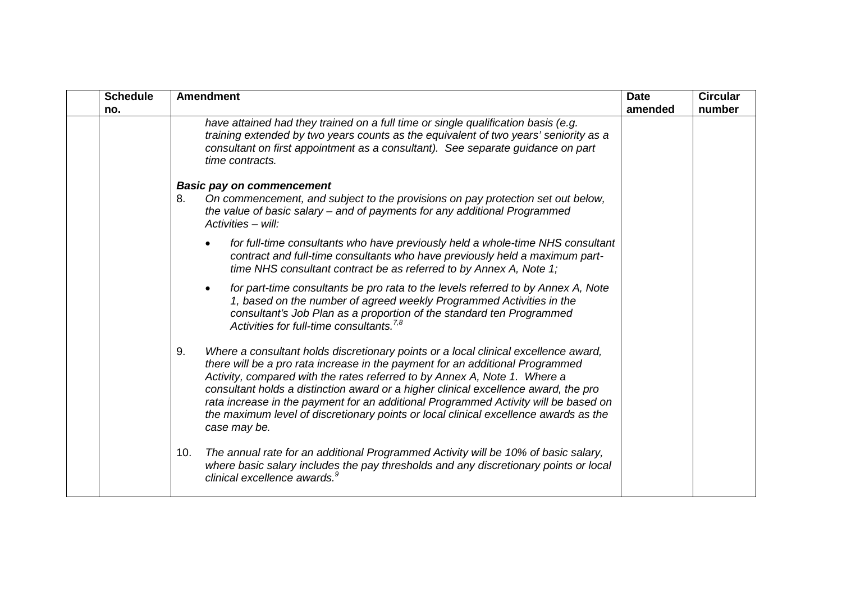| <b>Schedule</b><br>no. | <b>Amendment</b>                                                                                                                                                                                                                                                                                                                                                                                                                                                                                                                              | <b>Date</b><br>amended | <b>Circular</b><br>number |
|------------------------|-----------------------------------------------------------------------------------------------------------------------------------------------------------------------------------------------------------------------------------------------------------------------------------------------------------------------------------------------------------------------------------------------------------------------------------------------------------------------------------------------------------------------------------------------|------------------------|---------------------------|
|                        | have attained had they trained on a full time or single qualification basis (e.g.<br>training extended by two years counts as the equivalent of two years' seniority as a<br>consultant on first appointment as a consultant). See separate guidance on part<br>time contracts.                                                                                                                                                                                                                                                               |                        |                           |
|                        | <b>Basic pay on commencement</b><br>On commencement, and subject to the provisions on pay protection set out below,<br>8.<br>the value of basic salary - and of payments for any additional Programmed<br>$Activities - will:$                                                                                                                                                                                                                                                                                                                |                        |                           |
|                        | for full-time consultants who have previously held a whole-time NHS consultant<br>contract and full-time consultants who have previously held a maximum part-<br>time NHS consultant contract be as referred to by Annex A, Note 1;                                                                                                                                                                                                                                                                                                           |                        |                           |
|                        | for part-time consultants be pro rata to the levels referred to by Annex A, Note<br>1, based on the number of agreed weekly Programmed Activities in the<br>consultant's Job Plan as a proportion of the standard ten Programmed<br>Activities for full-time consultants. <sup>7,8</sup>                                                                                                                                                                                                                                                      |                        |                           |
|                        | Where a consultant holds discretionary points or a local clinical excellence award,<br>9.<br>there will be a pro rata increase in the payment for an additional Programmed<br>Activity, compared with the rates referred to by Annex A, Note 1. Where a<br>consultant holds a distinction award or a higher clinical excellence award, the pro<br>rata increase in the payment for an additional Programmed Activity will be based on<br>the maximum level of discretionary points or local clinical excellence awards as the<br>case may be. |                        |                           |
|                        | The annual rate for an additional Programmed Activity will be 10% of basic salary,<br>10.<br>where basic salary includes the pay thresholds and any discretionary points or local<br>clinical excellence awards. <sup>9</sup>                                                                                                                                                                                                                                                                                                                 |                        |                           |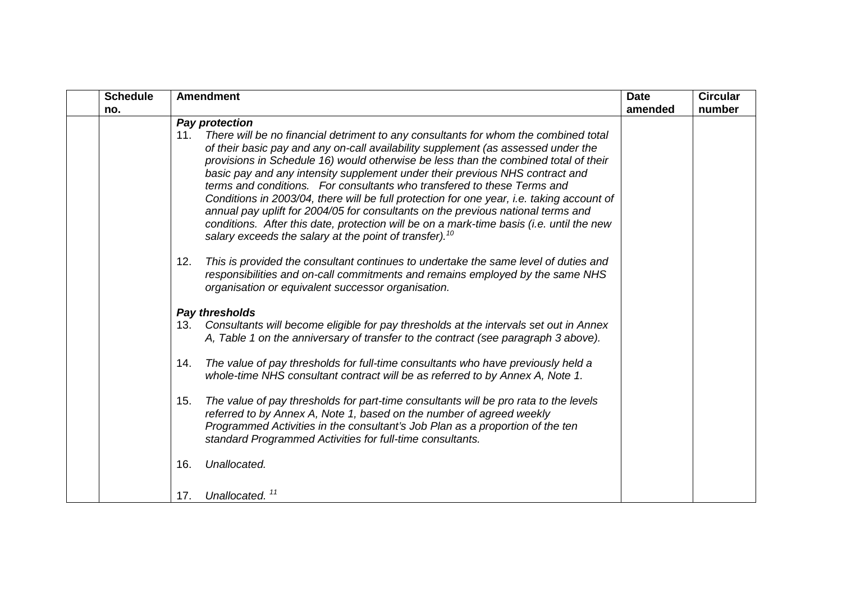| <b>Schedule</b> | <b>Amendment</b>                                                                                                                                                                                                                                                                                                                                                                                                                                                                                                                                                                                                                                                                                                                                                                     | <b>Date</b> | <b>Circular</b> |
|-----------------|--------------------------------------------------------------------------------------------------------------------------------------------------------------------------------------------------------------------------------------------------------------------------------------------------------------------------------------------------------------------------------------------------------------------------------------------------------------------------------------------------------------------------------------------------------------------------------------------------------------------------------------------------------------------------------------------------------------------------------------------------------------------------------------|-------------|-----------------|
| no.             |                                                                                                                                                                                                                                                                                                                                                                                                                                                                                                                                                                                                                                                                                                                                                                                      | amended     | number          |
|                 | Pay protection                                                                                                                                                                                                                                                                                                                                                                                                                                                                                                                                                                                                                                                                                                                                                                       |             |                 |
|                 | There will be no financial detriment to any consultants for whom the combined total<br>11.<br>of their basic pay and any on-call availability supplement (as assessed under the<br>provisions in Schedule 16) would otherwise be less than the combined total of their<br>basic pay and any intensity supplement under their previous NHS contract and<br>terms and conditions. For consultants who transfered to these Terms and<br>Conditions in 2003/04, there will be full protection for one year, i.e. taking account of<br>annual pay uplift for 2004/05 for consultants on the previous national terms and<br>conditions. After this date, protection will be on a mark-time basis (i.e. until the new<br>salary exceeds the salary at the point of transfer). <sup>10</sup> |             |                 |
|                 | 12.<br>This is provided the consultant continues to undertake the same level of duties and<br>responsibilities and on-call commitments and remains employed by the same NHS<br>organisation or equivalent successor organisation.                                                                                                                                                                                                                                                                                                                                                                                                                                                                                                                                                    |             |                 |
|                 | Pay thresholds                                                                                                                                                                                                                                                                                                                                                                                                                                                                                                                                                                                                                                                                                                                                                                       |             |                 |
|                 | Consultants will become eligible for pay thresholds at the intervals set out in Annex<br>13.<br>A, Table 1 on the anniversary of transfer to the contract (see paragraph 3 above).                                                                                                                                                                                                                                                                                                                                                                                                                                                                                                                                                                                                   |             |                 |
|                 | The value of pay thresholds for full-time consultants who have previously held a<br>14.<br>whole-time NHS consultant contract will be as referred to by Annex A, Note 1.                                                                                                                                                                                                                                                                                                                                                                                                                                                                                                                                                                                                             |             |                 |
|                 | The value of pay thresholds for part-time consultants will be pro rata to the levels<br>15.<br>referred to by Annex A, Note 1, based on the number of agreed weekly<br>Programmed Activities in the consultant's Job Plan as a proportion of the ten<br>standard Programmed Activities for full-time consultants.                                                                                                                                                                                                                                                                                                                                                                                                                                                                    |             |                 |
|                 | Unallocated.<br>16.                                                                                                                                                                                                                                                                                                                                                                                                                                                                                                                                                                                                                                                                                                                                                                  |             |                 |
|                 | Unallocated. <sup>11</sup><br>17.                                                                                                                                                                                                                                                                                                                                                                                                                                                                                                                                                                                                                                                                                                                                                    |             |                 |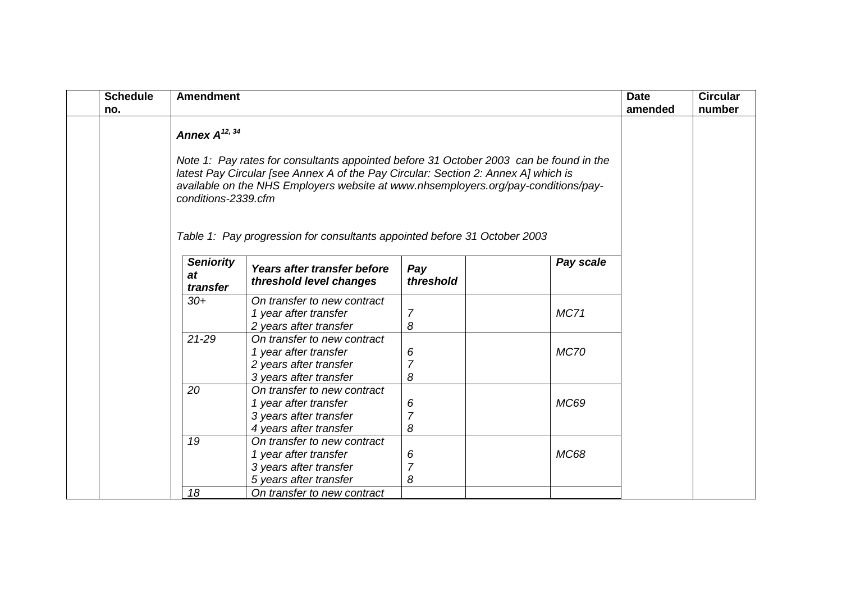| <b>Schedule</b><br>no. | <b>Amendment</b>                   |                                                                                                                                         |                          | <b>Date</b><br>amended | <b>Circular</b><br>number |  |
|------------------------|------------------------------------|-----------------------------------------------------------------------------------------------------------------------------------------|--------------------------|------------------------|---------------------------|--|
|                        |                                    |                                                                                                                                         |                          |                        |                           |  |
|                        | <b>Seniority</b><br>at<br>transfer | Years after transfer before<br>threshold level changes                                                                                  | Pay<br>threshold         | Pay scale              |                           |  |
|                        | $30+$                              | On transfer to new contract<br>1 year after transfer<br>2 years after transfer                                                          | 7<br>8                   | <b>MC71</b>            |                           |  |
|                        | $21 - 29$                          | On transfer to new contract<br>1 year after transfer<br>2 years after transfer<br>3 years after transfer                                | 6<br>7<br>8              | <b>MC70</b>            |                           |  |
|                        | 20                                 | On transfer to new contract<br>1 year after transfer<br>3 years after transfer<br>4 years after transfer                                | 6<br>$\overline{7}$<br>8 | <b>MC69</b>            |                           |  |
|                        | 19<br>18                           | On transfer to new contract<br>1 year after transfer<br>3 years after transfer<br>5 years after transfer<br>On transfer to new contract | 6<br>$\overline{7}$<br>8 | <b>MC68</b>            |                           |  |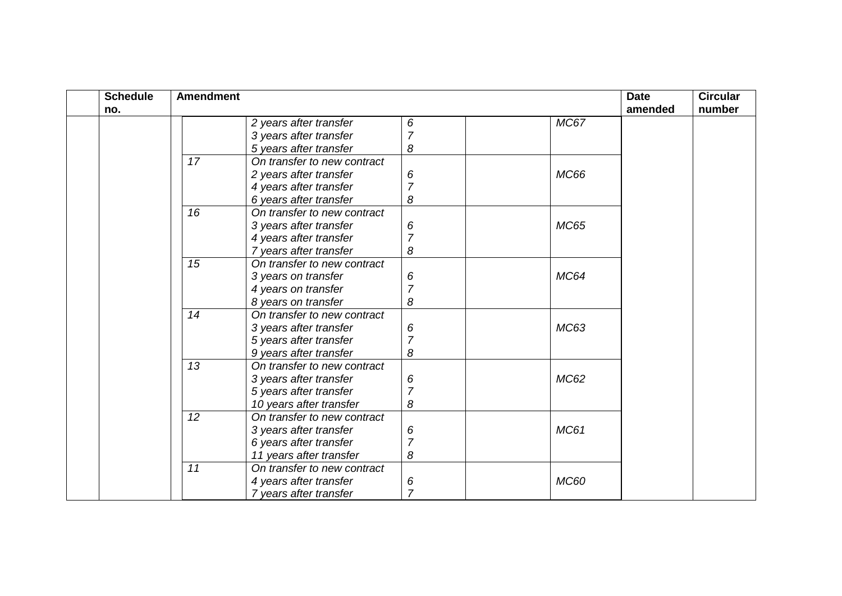| <b>Schedule</b> | <b>Amendment</b> |                             |                |             | <b>Date</b> | <b>Circular</b> |
|-----------------|------------------|-----------------------------|----------------|-------------|-------------|-----------------|
| no.             |                  |                             |                |             | amended     | number          |
|                 |                  | 2 years after transfer      | 6              | <b>MC67</b> |             |                 |
|                 |                  | 3 years after transfer      | $\overline{7}$ |             |             |                 |
|                 |                  | 5 years after transfer      | 8              |             |             |                 |
|                 | 17               | On transfer to new contract |                |             |             |                 |
|                 |                  | 2 years after transfer      | 6              | <b>MC66</b> |             |                 |
|                 |                  | 4 years after transfer      | $\overline{7}$ |             |             |                 |
|                 |                  | 6 years after transfer      | 8              |             |             |                 |
|                 | 16               | On transfer to new contract |                |             |             |                 |
|                 |                  | 3 years after transfer      | 6              | <b>MC65</b> |             |                 |
|                 |                  | 4 years after transfer      | 7              |             |             |                 |
|                 |                  | 7 years after transfer      | 8              |             |             |                 |
|                 | 15               | On transfer to new contract |                |             |             |                 |
|                 |                  | 3 years on transfer         | 6              | <b>MC64</b> |             |                 |
|                 |                  | 4 years on transfer         | $\overline{7}$ |             |             |                 |
|                 |                  | 8 years on transfer         | 8              |             |             |                 |
|                 | 14               | On transfer to new contract |                |             |             |                 |
|                 |                  | 3 years after transfer      | 6              | MC63        |             |                 |
|                 |                  | 5 years after transfer      | $\overline{7}$ |             |             |                 |
|                 |                  | 9 years after transfer      | 8              |             |             |                 |
|                 | 13               | On transfer to new contract |                |             |             |                 |
|                 |                  | 3 years after transfer      | 6              | MC62        |             |                 |
|                 |                  | 5 years after transfer      | $\overline{7}$ |             |             |                 |
|                 |                  | 10 years after transfer     | 8              |             |             |                 |
|                 | 12               | On transfer to new contract |                |             |             |                 |
|                 |                  | 3 years after transfer      | 6              | <b>MC61</b> |             |                 |
|                 |                  | 6 years after transfer      |                |             |             |                 |
|                 |                  | 11 years after transfer     | 8              |             |             |                 |
|                 | 11               | On transfer to new contract |                |             |             |                 |
|                 |                  | 4 years after transfer      | 6              | <b>MC60</b> |             |                 |
|                 |                  | 7 years after transfer      | $\overline{7}$ |             |             |                 |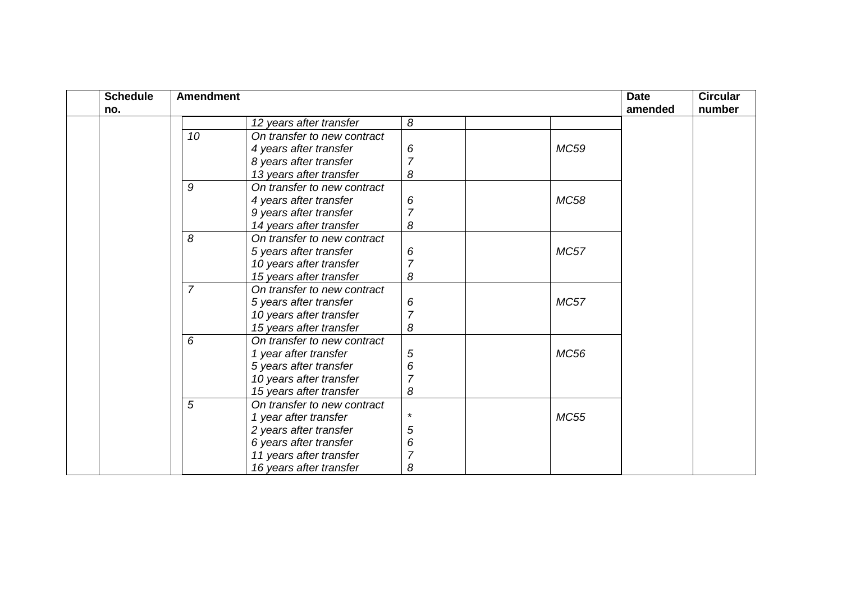| <b>Schedule</b> | <b>Amendment</b> |                             |                |             | <b>Date</b> | <b>Circular</b> |
|-----------------|------------------|-----------------------------|----------------|-------------|-------------|-----------------|
| no.             |                  |                             |                |             | amended     | number          |
|                 |                  | 12 years after transfer     | 8              |             |             |                 |
|                 | 10               | On transfer to new contract |                |             |             |                 |
|                 |                  | 4 years after transfer      | 6              | <b>MC59</b> |             |                 |
|                 |                  | 8 years after transfer      | 7              |             |             |                 |
|                 |                  | 13 years after transfer     | 8              |             |             |                 |
|                 | 9                | On transfer to new contract |                |             |             |                 |
|                 |                  | 4 years after transfer      | 6              | <b>MC58</b> |             |                 |
|                 |                  | 9 years after transfer      |                |             |             |                 |
|                 |                  | 14 years after transfer     | 8              |             |             |                 |
|                 | 8                | On transfer to new contract |                |             |             |                 |
|                 |                  | 5 years after transfer      | 6              | <b>MC57</b> |             |                 |
|                 |                  | 10 years after transfer     | 7              |             |             |                 |
|                 |                  | 15 years after transfer     | 8              |             |             |                 |
|                 | $\overline{7}$   | On transfer to new contract |                |             |             |                 |
|                 |                  | 5 years after transfer      | 6              | <b>MC57</b> |             |                 |
|                 |                  | 10 years after transfer     | $\overline{7}$ |             |             |                 |
|                 |                  | 15 years after transfer     | 8              |             |             |                 |
|                 | 6                | On transfer to new contract |                |             |             |                 |
|                 |                  | 1 year after transfer       | 5              | <b>MC56</b> |             |                 |
|                 |                  | 5 years after transfer      | 6              |             |             |                 |
|                 |                  | 10 years after transfer     | 7              |             |             |                 |
|                 |                  | 15 years after transfer     | 8              |             |             |                 |
|                 | 5                | On transfer to new contract |                |             |             |                 |
|                 |                  | 1 year after transfer       | $\star$        | <b>MC55</b> |             |                 |
|                 |                  | 2 years after transfer      | 5              |             |             |                 |
|                 |                  | 6 years after transfer      | 6              |             |             |                 |
|                 |                  | 11 years after transfer     |                |             |             |                 |
|                 |                  | 16 years after transfer     | 8              |             |             |                 |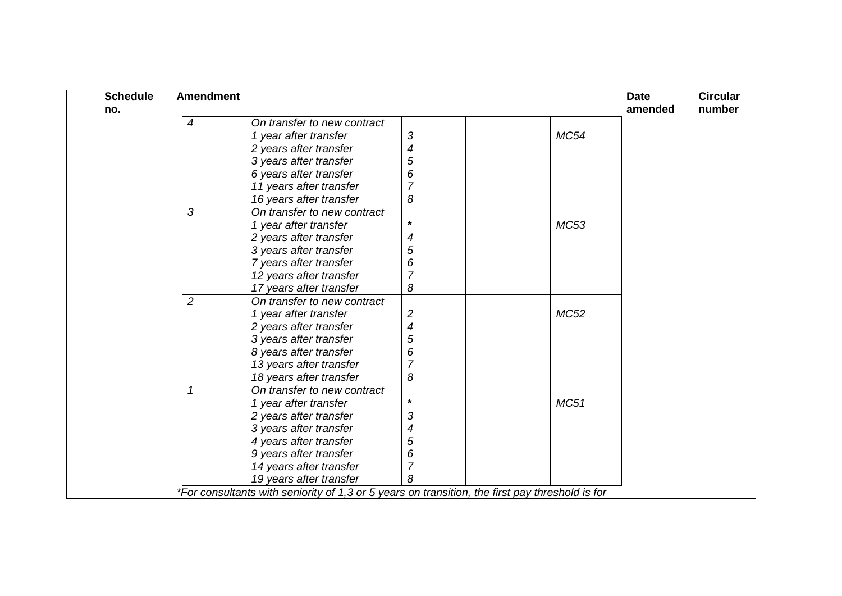| <b>Schedule</b> | <b>Amendment</b> |                                                                                                 |                          |  |             | <b>Date</b> | <b>Circular</b> |
|-----------------|------------------|-------------------------------------------------------------------------------------------------|--------------------------|--|-------------|-------------|-----------------|
| no.             |                  |                                                                                                 |                          |  |             | amended     | number          |
|                 | 4                | On transfer to new contract                                                                     |                          |  |             |             |                 |
|                 |                  | 1 year after transfer                                                                           | 3                        |  | <b>MC54</b> |             |                 |
|                 |                  | 2 years after transfer                                                                          | 4                        |  |             |             |                 |
|                 |                  | 3 years after transfer                                                                          | 5                        |  |             |             |                 |
|                 |                  | 6 years after transfer                                                                          | 6                        |  |             |             |                 |
|                 |                  | 11 years after transfer                                                                         | $\overline{7}$           |  |             |             |                 |
|                 |                  | 16 years after transfer                                                                         | 8                        |  |             |             |                 |
|                 | 3                | On transfer to new contract                                                                     |                          |  |             |             |                 |
|                 |                  | 1 year after transfer                                                                           | $\star$                  |  | MC53        |             |                 |
|                 |                  | 2 years after transfer                                                                          | 4                        |  |             |             |                 |
|                 |                  | 3 years after transfer                                                                          | 5                        |  |             |             |                 |
|                 |                  | 7 years after transfer                                                                          | 6                        |  |             |             |                 |
|                 |                  | 12 years after transfer                                                                         |                          |  |             |             |                 |
|                 |                  | 17 years after transfer                                                                         | 8                        |  |             |             |                 |
|                 | $\overline{2}$   | On transfer to new contract                                                                     |                          |  |             |             |                 |
|                 |                  | 1 year after transfer                                                                           | $\overline{c}$           |  | <b>MC52</b> |             |                 |
|                 |                  | 2 years after transfer                                                                          | $\overline{\mathcal{A}}$ |  |             |             |                 |
|                 |                  | 3 years after transfer                                                                          | 5                        |  |             |             |                 |
|                 |                  | 8 years after transfer                                                                          | 6                        |  |             |             |                 |
|                 |                  | 13 years after transfer                                                                         |                          |  |             |             |                 |
|                 |                  | 18 years after transfer                                                                         | 8                        |  |             |             |                 |
|                 | $\mathcal I$     | On transfer to new contract                                                                     |                          |  |             |             |                 |
|                 |                  | 1 year after transfer                                                                           | $\star$                  |  | MC51        |             |                 |
|                 |                  | 2 years after transfer                                                                          | 3                        |  |             |             |                 |
|                 |                  | 3 years after transfer                                                                          | 4                        |  |             |             |                 |
|                 |                  | 4 years after transfer                                                                          | 5                        |  |             |             |                 |
|                 |                  | 9 years after transfer                                                                          | 6                        |  |             |             |                 |
|                 |                  | 14 years after transfer                                                                         | 7                        |  |             |             |                 |
|                 |                  | 19 years after transfer                                                                         | 8                        |  |             |             |                 |
|                 |                  | *For consultants with seniority of 1,3 or 5 years on transition, the first pay threshold is for |                          |  |             |             |                 |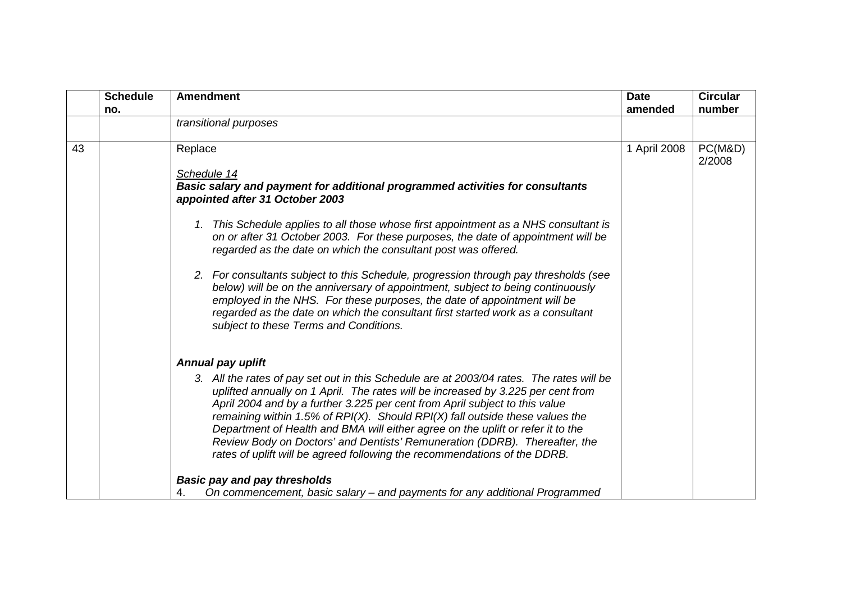<span id="page-19-0"></span>

|    | <b>Schedule</b> | <b>Amendment</b>                                                                                                                                                                                                                                                                                                                                                                                                                                                                                                                                                                                 | <b>Date</b>  | <b>Circular</b>   |
|----|-----------------|--------------------------------------------------------------------------------------------------------------------------------------------------------------------------------------------------------------------------------------------------------------------------------------------------------------------------------------------------------------------------------------------------------------------------------------------------------------------------------------------------------------------------------------------------------------------------------------------------|--------------|-------------------|
|    | no.             |                                                                                                                                                                                                                                                                                                                                                                                                                                                                                                                                                                                                  | amended      | number            |
|    |                 | transitional purposes                                                                                                                                                                                                                                                                                                                                                                                                                                                                                                                                                                            |              |                   |
| 43 |                 | Replace                                                                                                                                                                                                                                                                                                                                                                                                                                                                                                                                                                                          | 1 April 2008 | PC(M&D)<br>2/2008 |
|    |                 | Schedule 14                                                                                                                                                                                                                                                                                                                                                                                                                                                                                                                                                                                      |              |                   |
|    |                 | <b>Basic salary and payment for additional programmed activities for consultants</b><br>appointed after 31 October 2003                                                                                                                                                                                                                                                                                                                                                                                                                                                                          |              |                   |
|    |                 | 1. This Schedule applies to all those whose first appointment as a NHS consultant is<br>on or after 31 October 2003. For these purposes, the date of appointment will be<br>regarded as the date on which the consultant post was offered.                                                                                                                                                                                                                                                                                                                                                       |              |                   |
|    |                 | 2. For consultants subject to this Schedule, progression through pay thresholds (see<br>below) will be on the anniversary of appointment, subject to being continuously<br>employed in the NHS. For these purposes, the date of appointment will be<br>regarded as the date on which the consultant first started work as a consultant<br>subject to these Terms and Conditions.                                                                                                                                                                                                                 |              |                   |
|    |                 | <b>Annual pay uplift</b>                                                                                                                                                                                                                                                                                                                                                                                                                                                                                                                                                                         |              |                   |
|    |                 | 3. All the rates of pay set out in this Schedule are at 2003/04 rates. The rates will be<br>uplifted annually on 1 April. The rates will be increased by 3.225 per cent from<br>April 2004 and by a further 3.225 per cent from April subject to this value<br>remaining within 1.5% of RPI $(X)$ . Should RPI $(X)$ fall outside these values the<br>Department of Health and BMA will either agree on the uplift or refer it to the<br>Review Body on Doctors' and Dentists' Remuneration (DDRB). Thereafter, the<br>rates of uplift will be agreed following the recommendations of the DDRB. |              |                   |
|    |                 | <b>Basic pay and pay thresholds</b>                                                                                                                                                                                                                                                                                                                                                                                                                                                                                                                                                              |              |                   |
|    |                 | On commencement, basic salary - and payments for any additional Programmed<br>4.                                                                                                                                                                                                                                                                                                                                                                                                                                                                                                                 |              |                   |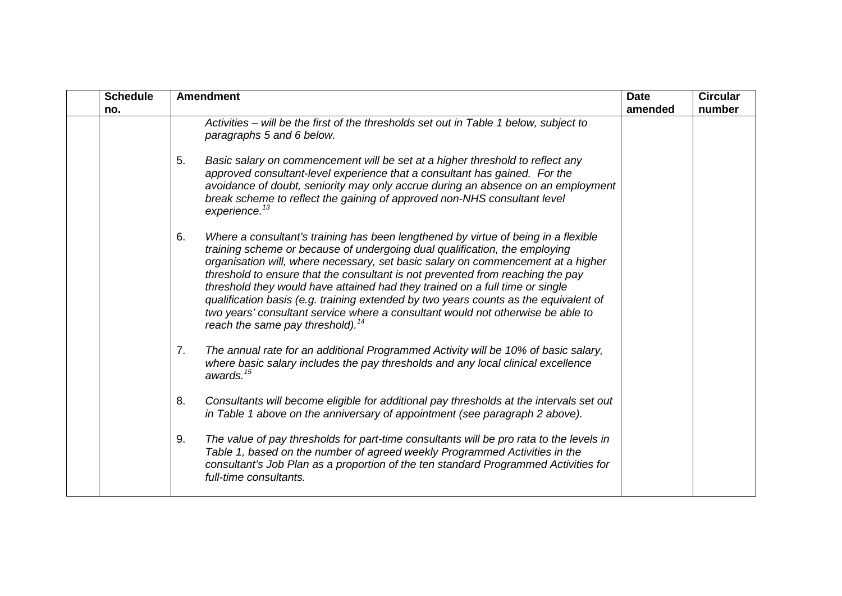<span id="page-20-1"></span><span id="page-20-0"></span>

| <b>Schedule</b> | <b>Amendment</b>                                                                                                                                                                                                                                                                                                                                                                                                                                                                                                                                                                                                                                                                                                                                                                                                                                                                                                                                                                                                                                                                                                                                                                                                                                                                                                                                                                                                                                                                                                                         | <b>Date</b> | <b>Circular</b> |
|-----------------|------------------------------------------------------------------------------------------------------------------------------------------------------------------------------------------------------------------------------------------------------------------------------------------------------------------------------------------------------------------------------------------------------------------------------------------------------------------------------------------------------------------------------------------------------------------------------------------------------------------------------------------------------------------------------------------------------------------------------------------------------------------------------------------------------------------------------------------------------------------------------------------------------------------------------------------------------------------------------------------------------------------------------------------------------------------------------------------------------------------------------------------------------------------------------------------------------------------------------------------------------------------------------------------------------------------------------------------------------------------------------------------------------------------------------------------------------------------------------------------------------------------------------------------|-------------|-----------------|
| no.             | Activities – will be the first of the thresholds set out in Table 1 below, subject to<br>paragraphs 5 and 6 below.<br>5.<br>Basic salary on commencement will be set at a higher threshold to reflect any<br>approved consultant-level experience that a consultant has gained. For the<br>avoidance of doubt, seniority may only accrue during an absence on an employment<br>break scheme to reflect the gaining of approved non-NHS consultant level<br>experience. <sup>13</sup><br>Where a consultant's training has been lengthened by virtue of being in a flexible<br>6.<br>training scheme or because of undergoing dual qualification, the employing<br>organisation will, where necessary, set basic salary on commencement at a higher<br>threshold to ensure that the consultant is not prevented from reaching the pay<br>threshold they would have attained had they trained on a full time or single<br>qualification basis (e.g. training extended by two years counts as the equivalent of<br>two years' consultant service where a consultant would not otherwise be able to<br>reach the same pay threshold). <sup>14</sup><br>The annual rate for an additional Programmed Activity will be 10% of basic salary,<br>7.<br>where basic salary includes the pay thresholds and any local clinical excellence<br>awards. <sup>15</sup><br>8.<br>Consultants will become eligible for additional pay thresholds at the intervals set out<br>in Table 1 above on the anniversary of appointment (see paragraph 2 above). | amended     | number          |
|                 | 9.<br>The value of pay thresholds for part-time consultants will be pro rata to the levels in<br>Table 1, based on the number of agreed weekly Programmed Activities in the<br>consultant's Job Plan as a proportion of the ten standard Programmed Activities for<br>full-time consultants.                                                                                                                                                                                                                                                                                                                                                                                                                                                                                                                                                                                                                                                                                                                                                                                                                                                                                                                                                                                                                                                                                                                                                                                                                                             |             |                 |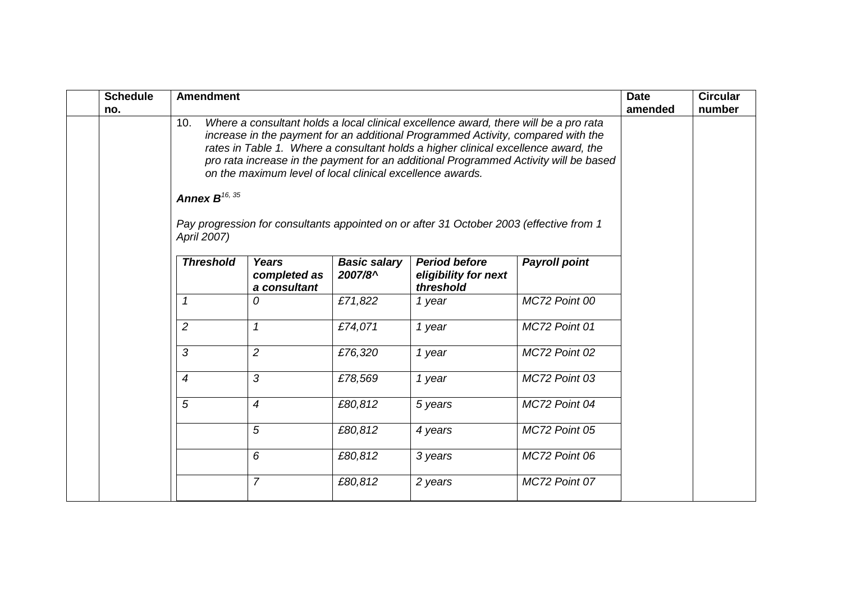| <b>Schedule</b><br>no. | <b>Amendment</b>                         |                                                           |                                |                                                                                                                                                                                                                                                                                                                                                                                                                                                   |                      | <b>Date</b><br>amended | <b>Circular</b><br>number |
|------------------------|------------------------------------------|-----------------------------------------------------------|--------------------------------|---------------------------------------------------------------------------------------------------------------------------------------------------------------------------------------------------------------------------------------------------------------------------------------------------------------------------------------------------------------------------------------------------------------------------------------------------|----------------------|------------------------|---------------------------|
|                        | 10.<br>Annex $B^{16, 35}$<br>April 2007) | on the maximum level of local clinical excellence awards. |                                | Where a consultant holds a local clinical excellence award, there will be a pro rata<br>increase in the payment for an additional Programmed Activity, compared with the<br>rates in Table 1. Where a consultant holds a higher clinical excellence award, the<br>pro rata increase in the payment for an additional Programmed Activity will be based<br>Pay progression for consultants appointed on or after 31 October 2003 (effective from 1 |                      |                        |                           |
|                        | <b>Threshold</b>                         | <b>Years</b><br>completed as<br>a consultant              | <b>Basic salary</b><br>2007/8^ | <b>Period before</b><br>eligibility for next<br>threshold                                                                                                                                                                                                                                                                                                                                                                                         | <b>Payroll point</b> |                        |                           |
|                        | 1                                        | 0                                                         | £71,822                        | 1 year                                                                                                                                                                                                                                                                                                                                                                                                                                            | MC72 Point 00        |                        |                           |
|                        | $\overline{2}$                           | $\mathcal I$                                              | £74,071                        | 1 year                                                                                                                                                                                                                                                                                                                                                                                                                                            | MC72 Point 01        |                        |                           |
|                        | $\mathcal{S}$                            | $\overline{2}$                                            | £76,320                        | 1 year                                                                                                                                                                                                                                                                                                                                                                                                                                            | MC72 Point 02        |                        |                           |
|                        | 4                                        | 3                                                         | £78,569                        | 1 year                                                                                                                                                                                                                                                                                                                                                                                                                                            | MC72 Point 03        |                        |                           |
|                        | $\overline{5}$                           | $\overline{4}$                                            | £80,812                        | 5 years                                                                                                                                                                                                                                                                                                                                                                                                                                           | MC72 Point 04        |                        |                           |
|                        |                                          | 5                                                         | £80,812                        | 4 years                                                                                                                                                                                                                                                                                                                                                                                                                                           | MC72 Point 05        |                        |                           |
|                        |                                          | 6                                                         | £80,812                        | 3 years                                                                                                                                                                                                                                                                                                                                                                                                                                           | MC72 Point 06        |                        |                           |
|                        |                                          | $\overline{7}$                                            | £80,812                        | 2 years                                                                                                                                                                                                                                                                                                                                                                                                                                           | MC72 Point 07        |                        |                           |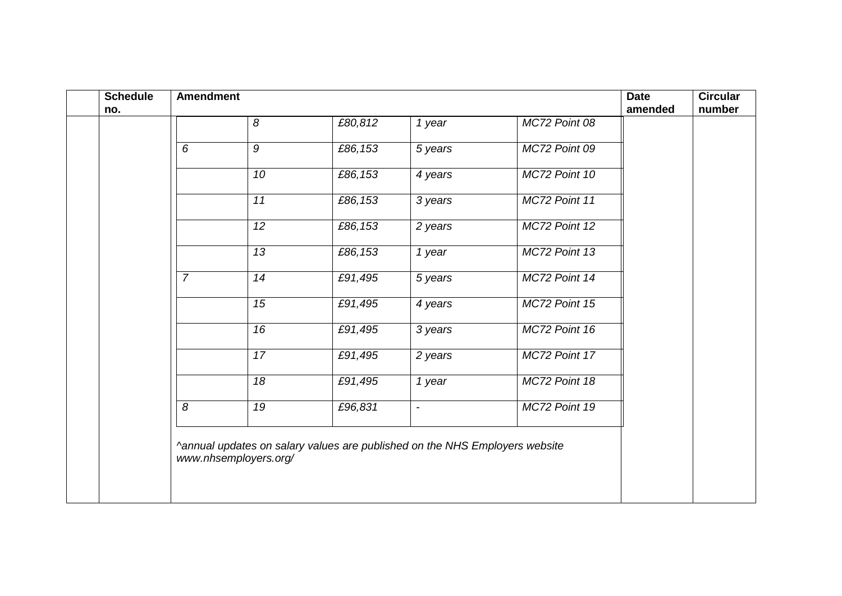| <b>Schedule</b><br>no. | <b>Amendment</b> |                       |                                                                             |                          |               | <b>Date</b><br>amended | <b>Circular</b><br>number |
|------------------------|------------------|-----------------------|-----------------------------------------------------------------------------|--------------------------|---------------|------------------------|---------------------------|
|                        |                  | 8                     | £80,812                                                                     | 1 year                   | MC72 Point 08 |                        |                           |
|                        | 6                | $\mathcal{G}$         | £86,153                                                                     | 5 years                  | MC72 Point 09 |                        |                           |
|                        |                  | 10                    | £86,153                                                                     | 4 years                  | MC72 Point 10 |                        |                           |
|                        |                  | 11                    | £86,153                                                                     | 3 years                  | MC72 Point 11 |                        |                           |
|                        |                  | $\overline{12}$       | £86,153                                                                     | 2 years                  | MC72 Point 12 |                        |                           |
|                        |                  | $\overline{13}$       | £86,153                                                                     | 1 year                   | MC72 Point 13 |                        |                           |
|                        | $\overline{7}$   | 14                    | £91,495                                                                     | 5 years                  | MC72 Point 14 |                        |                           |
|                        |                  | 15                    | £91,495                                                                     | 4 years                  | MC72 Point 15 |                        |                           |
|                        |                  | 16                    | £91,495                                                                     | 3 years                  | MC72 Point 16 |                        |                           |
|                        |                  | 17                    | £91,495                                                                     | 2 years                  | MC72 Point 17 |                        |                           |
|                        |                  | 18                    | £91,495                                                                     | 1 year                   | MC72 Point 18 |                        |                           |
|                        | $\overline{8}$   | $\overline{19}$       | £96,831                                                                     | $\overline{\phantom{a}}$ | MC72 Point 19 |                        |                           |
|                        |                  | www.nhsemployers.org/ | ^annual updates on salary values are published on the NHS Employers website |                          |               |                        |                           |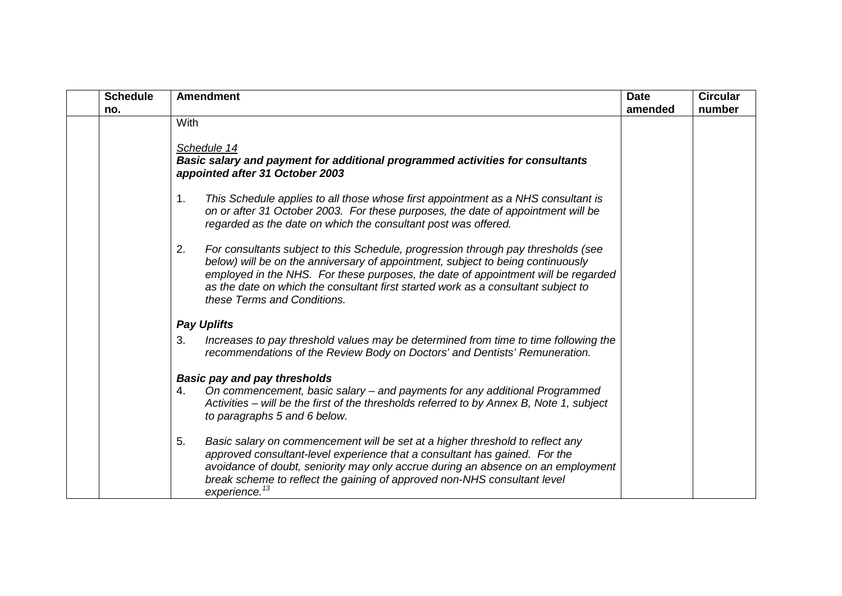| <b>Schedule</b> | <b>Amendment</b>                                                                                                                                                                                                                                                                                                                                                                    | <b>Date</b> | <b>Circular</b> |
|-----------------|-------------------------------------------------------------------------------------------------------------------------------------------------------------------------------------------------------------------------------------------------------------------------------------------------------------------------------------------------------------------------------------|-------------|-----------------|
| no.             |                                                                                                                                                                                                                                                                                                                                                                                     | amended     | number          |
|                 | With                                                                                                                                                                                                                                                                                                                                                                                |             |                 |
|                 |                                                                                                                                                                                                                                                                                                                                                                                     |             |                 |
|                 | Schedule 14                                                                                                                                                                                                                                                                                                                                                                         |             |                 |
|                 | <b>Basic salary and payment for additional programmed activities for consultants</b><br>appointed after 31 October 2003                                                                                                                                                                                                                                                             |             |                 |
|                 |                                                                                                                                                                                                                                                                                                                                                                                     |             |                 |
|                 | This Schedule applies to all those whose first appointment as a NHS consultant is<br>1 <sub>1</sub><br>on or after 31 October 2003. For these purposes, the date of appointment will be<br>regarded as the date on which the consultant post was offered.                                                                                                                           |             |                 |
|                 | 2.<br>For consultants subject to this Schedule, progression through pay thresholds (see<br>below) will be on the anniversary of appointment, subject to being continuously<br>employed in the NHS. For these purposes, the date of appointment will be regarded<br>as the date on which the consultant first started work as a consultant subject to<br>these Terms and Conditions. |             |                 |
|                 | <b>Pay Uplifts</b>                                                                                                                                                                                                                                                                                                                                                                  |             |                 |
|                 | Increases to pay threshold values may be determined from time to time following the<br>3.<br>recommendations of the Review Body on Doctors' and Dentists' Remuneration.                                                                                                                                                                                                             |             |                 |
|                 | <b>Basic pay and pay thresholds</b>                                                                                                                                                                                                                                                                                                                                                 |             |                 |
|                 | On commencement, basic salary - and payments for any additional Programmed<br>4.                                                                                                                                                                                                                                                                                                    |             |                 |
|                 | Activities – will be the first of the thresholds referred to by Annex B, Note 1, subject                                                                                                                                                                                                                                                                                            |             |                 |
|                 | to paragraphs 5 and 6 below.                                                                                                                                                                                                                                                                                                                                                        |             |                 |
|                 | 5.<br>Basic salary on commencement will be set at a higher threshold to reflect any                                                                                                                                                                                                                                                                                                 |             |                 |
|                 | approved consultant-level experience that a consultant has gained. For the                                                                                                                                                                                                                                                                                                          |             |                 |
|                 | avoidance of doubt, seniority may only accrue during an absence on an employment                                                                                                                                                                                                                                                                                                    |             |                 |
|                 | break scheme to reflect the gaining of approved non-NHS consultant level                                                                                                                                                                                                                                                                                                            |             |                 |
|                 | experience. <sup>13</sup>                                                                                                                                                                                                                                                                                                                                                           |             |                 |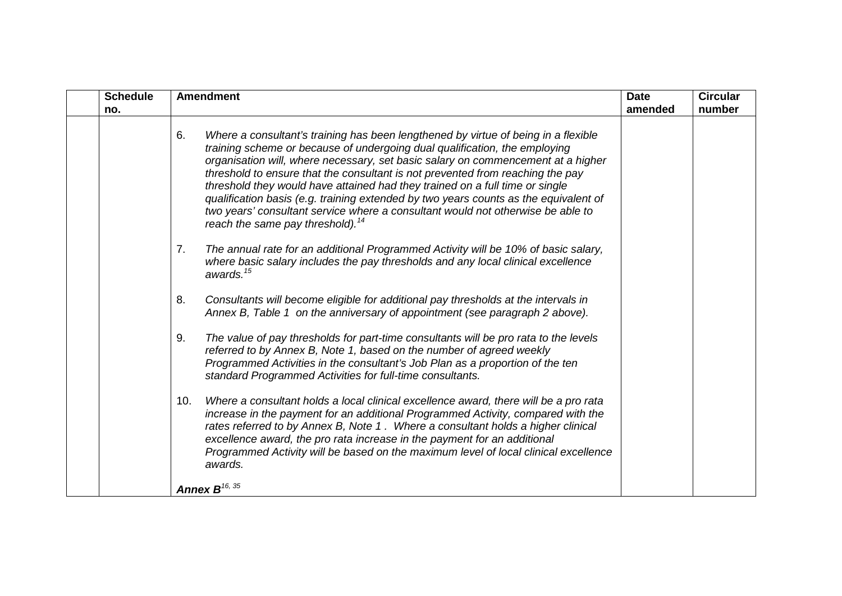| <b>Schedule</b> | <b>Amendment</b><br><b>Date</b>                                                                                                                                                                                                                                                                                                                                                                                                                                                                                                                                                                                                                         |         | <b>Circular</b> |
|-----------------|---------------------------------------------------------------------------------------------------------------------------------------------------------------------------------------------------------------------------------------------------------------------------------------------------------------------------------------------------------------------------------------------------------------------------------------------------------------------------------------------------------------------------------------------------------------------------------------------------------------------------------------------------------|---------|-----------------|
| no.             |                                                                                                                                                                                                                                                                                                                                                                                                                                                                                                                                                                                                                                                         | amended | number          |
|                 | 6.<br>Where a consultant's training has been lengthened by virtue of being in a flexible<br>training scheme or because of undergoing dual qualification, the employing<br>organisation will, where necessary, set basic salary on commencement at a higher<br>threshold to ensure that the consultant is not prevented from reaching the pay<br>threshold they would have attained had they trained on a full time or single<br>qualification basis (e.g. training extended by two years counts as the equivalent of<br>two years' consultant service where a consultant would not otherwise be able to<br>reach the same pay threshold). <sup>14</sup> |         |                 |
|                 | The annual rate for an additional Programmed Activity will be 10% of basic salary,<br>7.<br>where basic salary includes the pay thresholds and any local clinical excellence<br>awards. $15$                                                                                                                                                                                                                                                                                                                                                                                                                                                            |         |                 |
|                 | 8.<br>Consultants will become eligible for additional pay thresholds at the intervals in<br>Annex B, Table 1 on the anniversary of appointment (see paragraph 2 above).                                                                                                                                                                                                                                                                                                                                                                                                                                                                                 |         |                 |
|                 | The value of pay thresholds for part-time consultants will be pro rata to the levels<br>9.<br>referred to by Annex B, Note 1, based on the number of agreed weekly<br>Programmed Activities in the consultant's Job Plan as a proportion of the ten<br>standard Programmed Activities for full-time consultants.                                                                                                                                                                                                                                                                                                                                        |         |                 |
|                 | Where a consultant holds a local clinical excellence award, there will be a pro rata<br>10.<br>increase in the payment for an additional Programmed Activity, compared with the<br>rates referred to by Annex B, Note 1. Where a consultant holds a higher clinical<br>excellence award, the pro rata increase in the payment for an additional<br>Programmed Activity will be based on the maximum level of local clinical excellence<br>awards.                                                                                                                                                                                                       |         |                 |
|                 | Annex $B^{16, 35}$                                                                                                                                                                                                                                                                                                                                                                                                                                                                                                                                                                                                                                      |         |                 |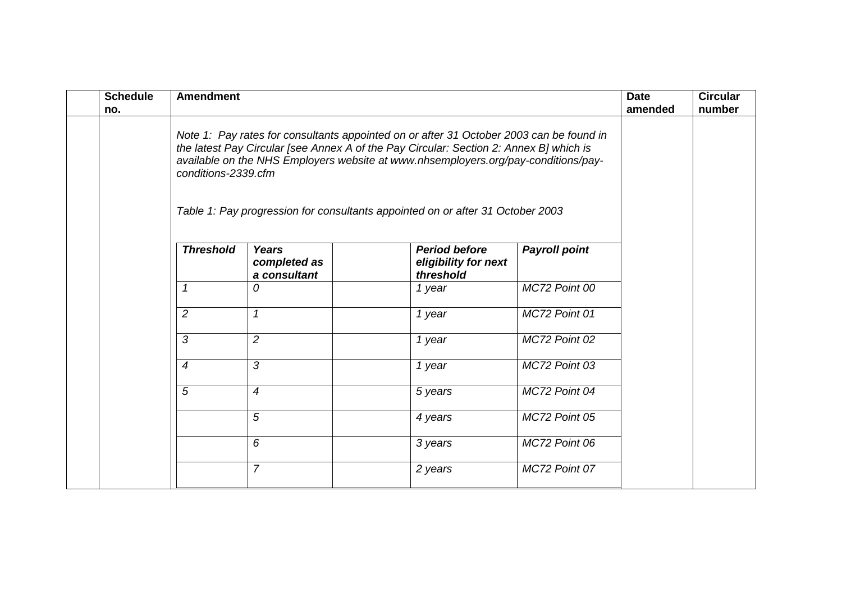| <b>Schedule</b><br>no. | <b>Amendment</b>                                                                                                                                                                                                                                                        |                                              |                                                           |                      | <b>Date</b><br>amended | <b>Circular</b><br>number |
|------------------------|-------------------------------------------------------------------------------------------------------------------------------------------------------------------------------------------------------------------------------------------------------------------------|----------------------------------------------|-----------------------------------------------------------|----------------------|------------------------|---------------------------|
|                        | Note 1: Pay rates for consultants appointed on or after 31 October 2003 can be found in<br>the latest Pay Circular [see Annex A of the Pay Circular: Section 2: Annex B] which is<br>available on the NHS Employers website at www.nhsemployers.org/pay-conditions/pay- |                                              |                                                           |                      |                        |                           |
|                        | Table 1: Pay progression for consultants appointed on or after 31 October 2003                                                                                                                                                                                          |                                              |                                                           |                      |                        |                           |
|                        | <b>Threshold</b>                                                                                                                                                                                                                                                        | <b>Years</b><br>completed as<br>a consultant | <b>Period before</b><br>eligibility for next<br>threshold | <b>Payroll point</b> |                        |                           |
|                        | 1                                                                                                                                                                                                                                                                       | 0                                            | 1 year                                                    | MC72 Point 00        |                        |                           |
|                        | 2                                                                                                                                                                                                                                                                       | $\mathcal I$                                 | 1 year                                                    | MC72 Point 01        |                        |                           |
|                        | 3                                                                                                                                                                                                                                                                       | $\overline{2}$                               | 1 year                                                    | MC72 Point 02        |                        |                           |
|                        | $\overline{4}$                                                                                                                                                                                                                                                          | 3                                            | 1 year                                                    | MC72 Point 03        |                        |                           |
|                        | 5                                                                                                                                                                                                                                                                       | $\boldsymbol{4}$                             | 5 years                                                   | MC72 Point 04        |                        |                           |
|                        |                                                                                                                                                                                                                                                                         | 5                                            | 4 years                                                   | MC72 Point 05        |                        |                           |
|                        |                                                                                                                                                                                                                                                                         | 6                                            | 3 years                                                   | MC72 Point 06        |                        |                           |
|                        |                                                                                                                                                                                                                                                                         | $\overline{7}$                               | 2 years                                                   | MC72 Point 07        |                        |                           |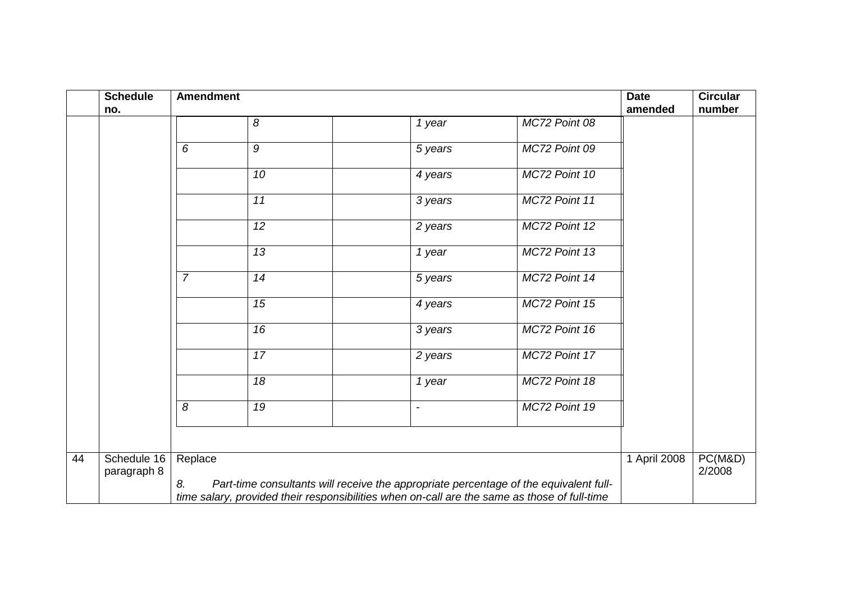|    | <b>Schedule</b><br>no.     | <b>Amendment</b> |    |                          |                                                                                              | <b>Date</b><br>amended | <b>Circular</b><br>number |
|----|----------------------------|------------------|----|--------------------------|----------------------------------------------------------------------------------------------|------------------------|---------------------------|
|    |                            |                  | 8  | 1 year                   | MC72 Point 08                                                                                |                        |                           |
|    |                            | 6                | 9  | 5 years                  | MC72 Point 09                                                                                |                        |                           |
|    |                            |                  | 10 | 4 years                  | MC72 Point 10                                                                                |                        |                           |
|    |                            |                  | 11 | 3 years                  | MC72 Point 11                                                                                |                        |                           |
|    |                            |                  | 12 | 2 years                  | MC72 Point 12                                                                                |                        |                           |
|    |                            |                  | 13 | 1 year                   | MC72 Point 13                                                                                |                        |                           |
|    |                            | $\overline{7}$   | 14 | 5 years                  | MC72 Point 14                                                                                |                        |                           |
|    |                            |                  | 15 | 4 years                  | MC72 Point 15                                                                                |                        |                           |
|    |                            |                  | 16 | 3 years                  | MC72 Point 16                                                                                |                        |                           |
|    |                            |                  | 17 | 2 years                  | MC72 Point 17                                                                                |                        |                           |
|    |                            |                  | 18 | 1 year                   | MC72 Point 18                                                                                |                        |                           |
|    |                            | 8                | 19 | $\overline{\phantom{a}}$ | MC72 Point 19                                                                                |                        |                           |
|    |                            |                  |    |                          |                                                                                              |                        |                           |
| 44 | Schedule 16<br>paragraph 8 | Replace<br>8.    |    |                          | Part-time consultants will receive the appropriate percentage of the equivalent full-        | 1 April 2008           | PC(M&D)<br>2/2008         |
|    |                            |                  |    |                          | time salary, provided their responsibilities when on-call are the same as those of full-time |                        |                           |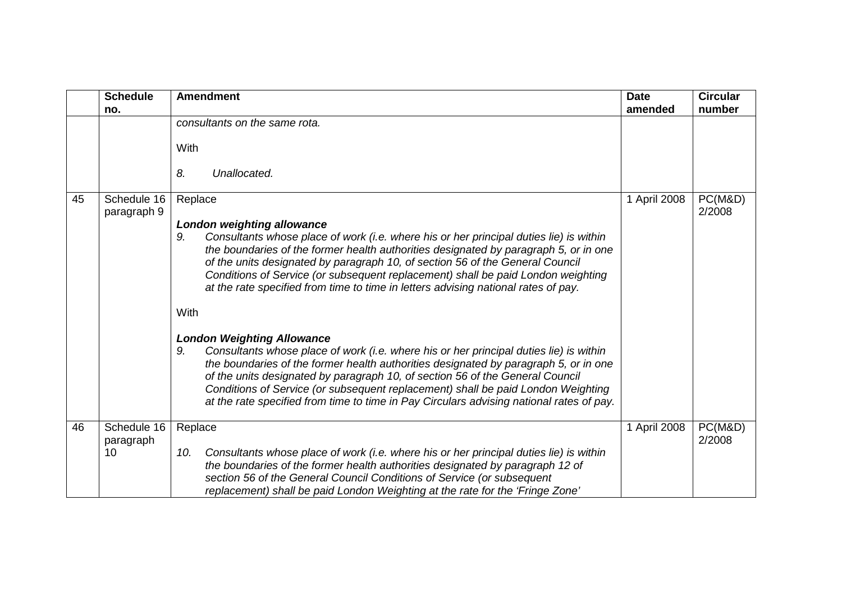|    | <b>Schedule</b>            | <b>Amendment</b>                                                                                                                                                                                                                                                                                                                                                                                                                                                                           | <b>Date</b>  | <b>Circular</b>   |
|----|----------------------------|--------------------------------------------------------------------------------------------------------------------------------------------------------------------------------------------------------------------------------------------------------------------------------------------------------------------------------------------------------------------------------------------------------------------------------------------------------------------------------------------|--------------|-------------------|
|    | no.                        |                                                                                                                                                                                                                                                                                                                                                                                                                                                                                            | amended      | number            |
|    |                            | consultants on the same rota.<br>With                                                                                                                                                                                                                                                                                                                                                                                                                                                      |              |                   |
|    |                            | 8.<br>Unallocated.                                                                                                                                                                                                                                                                                                                                                                                                                                                                         |              |                   |
| 45 | Schedule 16<br>paragraph 9 | Replace<br><b>London weighting allowance</b><br>Consultants whose place of work (i.e. where his or her principal duties lie) is within<br>9.                                                                                                                                                                                                                                                                                                                                               | 1 April 2008 | PC(M&D)<br>2/2008 |
|    |                            | the boundaries of the former health authorities designated by paragraph 5, or in one<br>of the units designated by paragraph 10, of section 56 of the General Council<br>Conditions of Service (or subsequent replacement) shall be paid London weighting<br>at the rate specified from time to time in letters advising national rates of pay.                                                                                                                                            |              |                   |
|    |                            | With                                                                                                                                                                                                                                                                                                                                                                                                                                                                                       |              |                   |
|    |                            | <b>London Weighting Allowance</b><br>Consultants whose place of work (i.e. where his or her principal duties lie) is within<br>9.<br>the boundaries of the former health authorities designated by paragraph 5, or in one<br>of the units designated by paragraph 10, of section 56 of the General Council<br>Conditions of Service (or subsequent replacement) shall be paid London Weighting<br>at the rate specified from time to time in Pay Circulars advising national rates of pay. |              |                   |
| 46 | Schedule 16<br>paragraph   | Replace                                                                                                                                                                                                                                                                                                                                                                                                                                                                                    | 1 April 2008 | PC(M&D)<br>2/2008 |
|    | 10                         | Consultants whose place of work (i.e. where his or her principal duties lie) is within<br>10.<br>the boundaries of the former health authorities designated by paragraph 12 of<br>section 56 of the General Council Conditions of Service (or subsequent<br>replacement) shall be paid London Weighting at the rate for the 'Fringe Zone'                                                                                                                                                  |              |                   |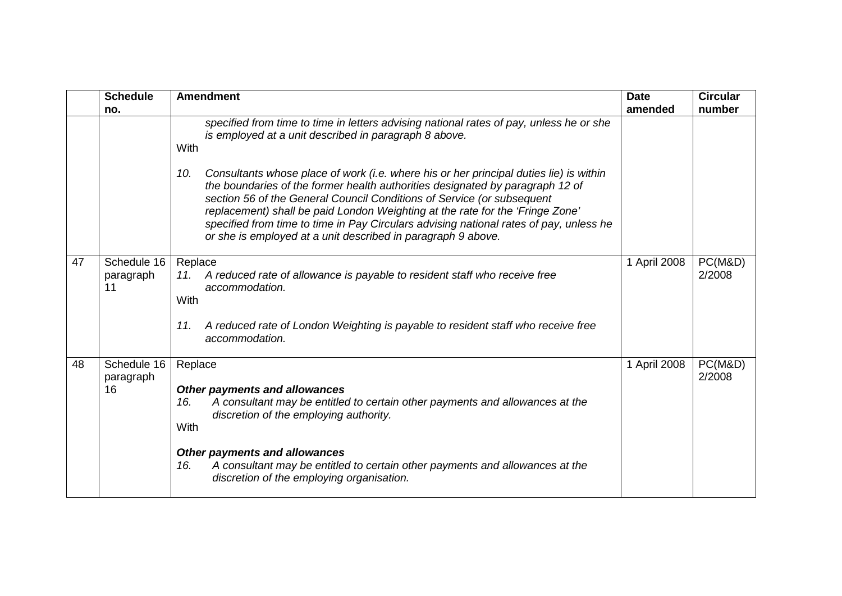|    | <b>Schedule</b><br>no.         | <b>Amendment</b>                                                                                                                                                                                                                                                                                                                                                                                                                                                                                    | <b>Date</b><br>amended | <b>Circular</b><br>number |
|----|--------------------------------|-----------------------------------------------------------------------------------------------------------------------------------------------------------------------------------------------------------------------------------------------------------------------------------------------------------------------------------------------------------------------------------------------------------------------------------------------------------------------------------------------------|------------------------|---------------------------|
|    |                                | specified from time to time in letters advising national rates of pay, unless he or she<br>is employed at a unit described in paragraph 8 above.<br>With                                                                                                                                                                                                                                                                                                                                            |                        |                           |
|    |                                | Consultants whose place of work (i.e. where his or her principal duties lie) is within<br>10.<br>the boundaries of the former health authorities designated by paragraph 12 of<br>section 56 of the General Council Conditions of Service (or subsequent<br>replacement) shall be paid London Weighting at the rate for the 'Fringe Zone'<br>specified from time to time in Pay Circulars advising national rates of pay, unless he<br>or she is employed at a unit described in paragraph 9 above. |                        |                           |
| 47 | Schedule 16<br>paragraph<br>11 | Replace<br>A reduced rate of allowance is payable to resident staff who receive free<br>11.<br>accommodation.<br>With<br>A reduced rate of London Weighting is payable to resident staff who receive free<br>11.<br>accommodation.                                                                                                                                                                                                                                                                  | 1 April 2008           | PC(M&D)<br>2/2008         |
| 48 | Schedule 16<br>paragraph<br>16 | Replace<br><b>Other payments and allowances</b><br>A consultant may be entitled to certain other payments and allowances at the<br>16.<br>discretion of the employing authority.<br>With<br><b>Other payments and allowances</b><br>A consultant may be entitled to certain other payments and allowances at the<br>16.<br>discretion of the employing organisation.                                                                                                                                | 1 April 2008           | PC(M&D)<br>2/2008         |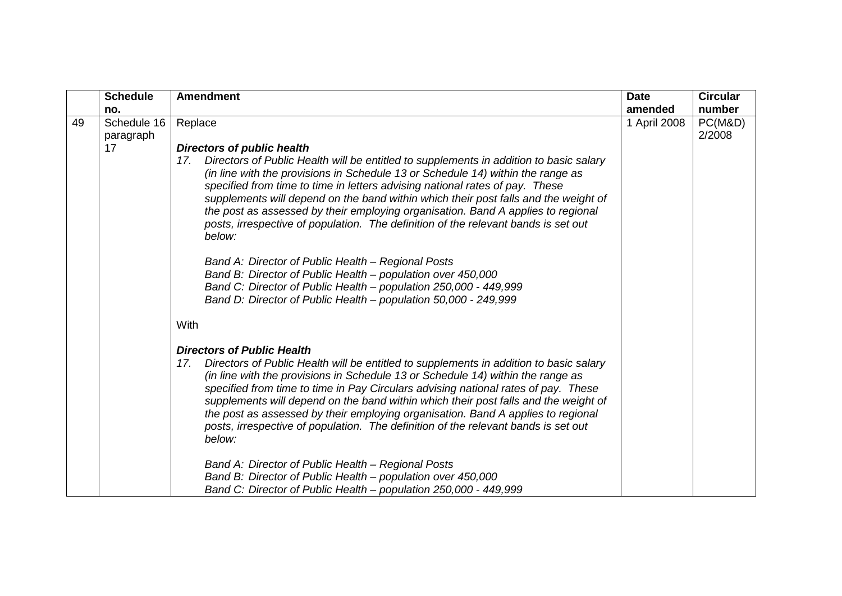|    | <b>Schedule</b>          | <b>Amendment</b>                                                                                                                                                                                                                                                                                                                                                                                                                                                                                                                                                                       | <b>Date</b>  | <b>Circular</b>   |
|----|--------------------------|----------------------------------------------------------------------------------------------------------------------------------------------------------------------------------------------------------------------------------------------------------------------------------------------------------------------------------------------------------------------------------------------------------------------------------------------------------------------------------------------------------------------------------------------------------------------------------------|--------------|-------------------|
|    | no.                      |                                                                                                                                                                                                                                                                                                                                                                                                                                                                                                                                                                                        | amended      | number            |
| 49 | Schedule 16<br>paragraph | Replace                                                                                                                                                                                                                                                                                                                                                                                                                                                                                                                                                                                | 1 April 2008 | PC(M&D)<br>2/2008 |
|    | 17                       | <b>Directors of public health</b>                                                                                                                                                                                                                                                                                                                                                                                                                                                                                                                                                      |              |                   |
|    |                          | Directors of Public Health will be entitled to supplements in addition to basic salary<br>17.<br>(in line with the provisions in Schedule 13 or Schedule 14) within the range as<br>specified from time to time in letters advising national rates of pay. These<br>supplements will depend on the band within which their post falls and the weight of<br>the post as assessed by their employing organisation. Band A applies to regional<br>posts, irrespective of population. The definition of the relevant bands is set out<br>below:                                            |              |                   |
|    |                          | Band A: Director of Public Health - Regional Posts<br>Band B: Director of Public Health – population over 450,000<br>Band C: Director of Public Health - population 250,000 - 449,999<br>Band D: Director of Public Health - population 50,000 - 249,999                                                                                                                                                                                                                                                                                                                               |              |                   |
|    |                          | With                                                                                                                                                                                                                                                                                                                                                                                                                                                                                                                                                                                   |              |                   |
|    |                          | <b>Directors of Public Health</b><br>Directors of Public Health will be entitled to supplements in addition to basic salary<br>17.<br>(in line with the provisions in Schedule 13 or Schedule 14) within the range as<br>specified from time to time in Pay Circulars advising national rates of pay. These<br>supplements will depend on the band within which their post falls and the weight of<br>the post as assessed by their employing organisation. Band A applies to regional<br>posts, irrespective of population. The definition of the relevant bands is set out<br>below: |              |                   |
|    |                          | Band A: Director of Public Health - Regional Posts<br>Band B: Director of Public Health - population over 450,000<br>Band C: Director of Public Health – population 250,000 - 449,999                                                                                                                                                                                                                                                                                                                                                                                                  |              |                   |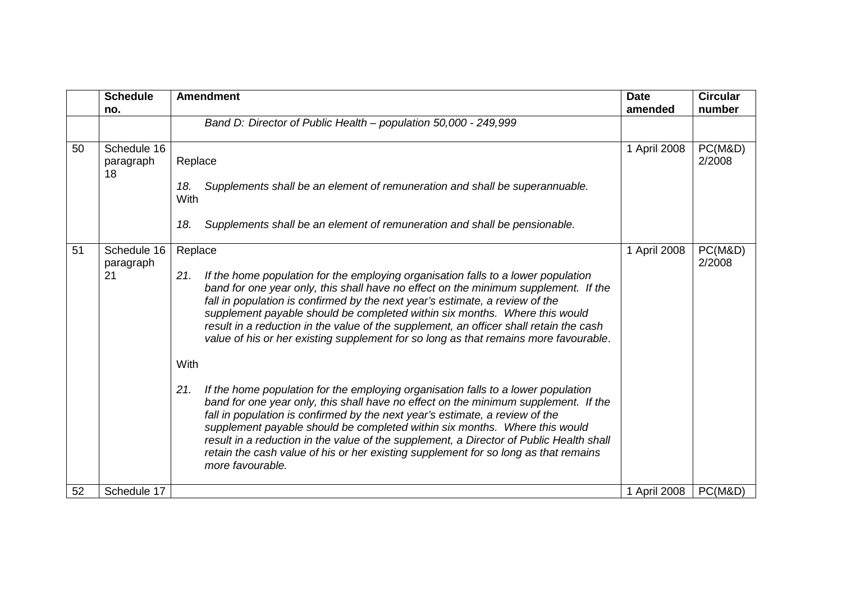|    | <b>Schedule</b>                | <b>Amendment</b>                                                                                                                                                                                                                                                                                                                                                                                                                                                                                                                                    | <b>Date</b>  | <b>Circular</b>   |
|----|--------------------------------|-----------------------------------------------------------------------------------------------------------------------------------------------------------------------------------------------------------------------------------------------------------------------------------------------------------------------------------------------------------------------------------------------------------------------------------------------------------------------------------------------------------------------------------------------------|--------------|-------------------|
|    | no.                            | Band D: Director of Public Health - population 50,000 - 249,999                                                                                                                                                                                                                                                                                                                                                                                                                                                                                     | amended      | number            |
|    |                                |                                                                                                                                                                                                                                                                                                                                                                                                                                                                                                                                                     |              |                   |
| 50 | Schedule 16<br>paragraph<br>18 | Replace                                                                                                                                                                                                                                                                                                                                                                                                                                                                                                                                             | 1 April 2008 | PC(M&D)<br>2/2008 |
|    |                                | Supplements shall be an element of remuneration and shall be superannuable.<br>18.<br>With                                                                                                                                                                                                                                                                                                                                                                                                                                                          |              |                   |
|    |                                | Supplements shall be an element of remuneration and shall be pensionable.<br>18.                                                                                                                                                                                                                                                                                                                                                                                                                                                                    |              |                   |
| 51 | Schedule 16<br>paragraph       | Replace                                                                                                                                                                                                                                                                                                                                                                                                                                                                                                                                             | 1 April 2008 | PC(M&D)<br>2/2008 |
|    | 21                             | If the home population for the employing organisation falls to a lower population<br>21.<br>band for one year only, this shall have no effect on the minimum supplement. If the<br>fall in population is confirmed by the next year's estimate, a review of the<br>supplement payable should be completed within six months. Where this would<br>result in a reduction in the value of the supplement, an officer shall retain the cash<br>value of his or her existing supplement for so long as that remains more favourable.                     |              |                   |
|    |                                | With                                                                                                                                                                                                                                                                                                                                                                                                                                                                                                                                                |              |                   |
|    |                                | 21.<br>If the home population for the employing organisation falls to a lower population<br>band for one year only, this shall have no effect on the minimum supplement. If the<br>fall in population is confirmed by the next year's estimate, a review of the<br>supplement payable should be completed within six months. Where this would<br>result in a reduction in the value of the supplement, a Director of Public Health shall<br>retain the cash value of his or her existing supplement for so long as that remains<br>more favourable. |              |                   |
| 52 | Schedule 17                    |                                                                                                                                                                                                                                                                                                                                                                                                                                                                                                                                                     | 1 April 2008 | PC(M&D)           |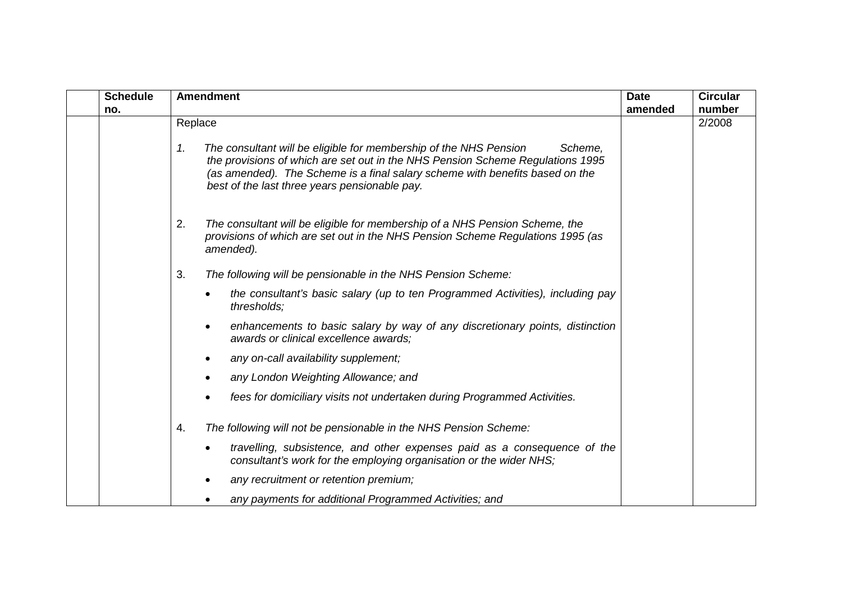| <b>Schedule</b> | <b>Amendment</b>                                                                                                                                                                                                                                                                                      | <b>Date</b> | <b>Circular</b> |
|-----------------|-------------------------------------------------------------------------------------------------------------------------------------------------------------------------------------------------------------------------------------------------------------------------------------------------------|-------------|-----------------|
| no.             |                                                                                                                                                                                                                                                                                                       | amended     | number          |
|                 | Replace                                                                                                                                                                                                                                                                                               |             | 2/2008          |
|                 | 1.<br>The consultant will be eligible for membership of the NHS Pension<br>Scheme.<br>the provisions of which are set out in the NHS Pension Scheme Regulations 1995<br>(as amended). The Scheme is a final salary scheme with benefits based on the<br>best of the last three years pensionable pay. |             |                 |
|                 | 2.<br>The consultant will be eligible for membership of a NHS Pension Scheme, the<br>provisions of which are set out in the NHS Pension Scheme Regulations 1995 (as<br>amended).                                                                                                                      |             |                 |
|                 | 3.<br>The following will be pensionable in the NHS Pension Scheme:                                                                                                                                                                                                                                    |             |                 |
|                 | the consultant's basic salary (up to ten Programmed Activities), including pay<br>thresholds;                                                                                                                                                                                                         |             |                 |
|                 | enhancements to basic salary by way of any discretionary points, distinction<br>$\bullet$<br>awards or clinical excellence awards;                                                                                                                                                                    |             |                 |
|                 | any on-call availability supplement;<br>$\bullet$                                                                                                                                                                                                                                                     |             |                 |
|                 | any London Weighting Allowance; and                                                                                                                                                                                                                                                                   |             |                 |
|                 | fees for domiciliary visits not undertaken during Programmed Activities.                                                                                                                                                                                                                              |             |                 |
|                 | 4.<br>The following will not be pensionable in the NHS Pension Scheme:                                                                                                                                                                                                                                |             |                 |
|                 | travelling, subsistence, and other expenses paid as a consequence of the<br>٠<br>consultant's work for the employing organisation or the wider NHS;                                                                                                                                                   |             |                 |
|                 | any recruitment or retention premium;                                                                                                                                                                                                                                                                 |             |                 |
|                 | any payments for additional Programmed Activities; and                                                                                                                                                                                                                                                |             |                 |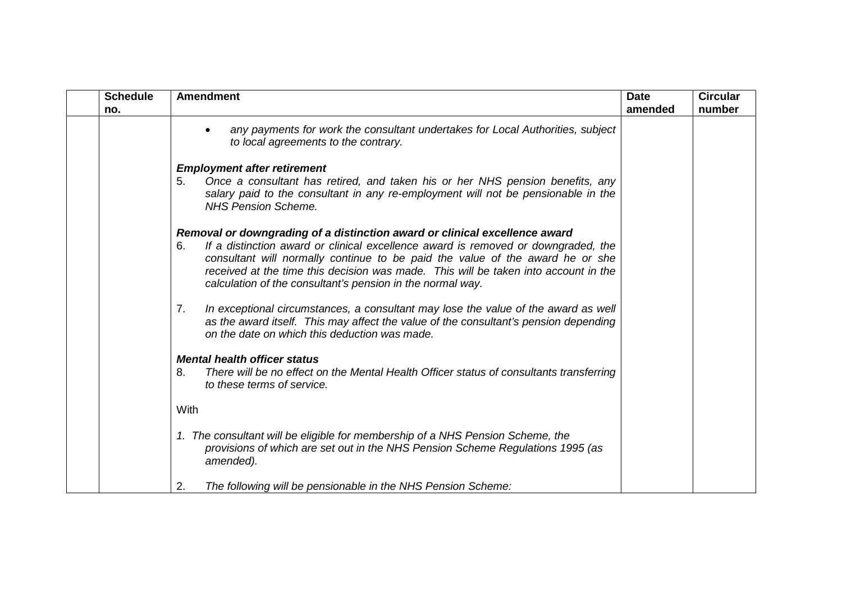| <b>Schedule</b><br>no. | <b>Amendment</b>                                                                                                                                                                                                                                                                                                                                                                                            | <b>Date</b><br>amended | <b>Circular</b><br>number |
|------------------------|-------------------------------------------------------------------------------------------------------------------------------------------------------------------------------------------------------------------------------------------------------------------------------------------------------------------------------------------------------------------------------------------------------------|------------------------|---------------------------|
|                        | any payments for work the consultant undertakes for Local Authorities, subject<br>to local agreements to the contrary.                                                                                                                                                                                                                                                                                      |                        |                           |
|                        | <b>Employment after retirement</b><br>Once a consultant has retired, and taken his or her NHS pension benefits, any<br>5.<br>salary paid to the consultant in any re-employment will not be pensionable in the<br><b>NHS Pension Scheme.</b>                                                                                                                                                                |                        |                           |
|                        | Removal or downgrading of a distinction award or clinical excellence award<br>If a distinction award or clinical excellence award is removed or downgraded, the<br>6.<br>consultant will normally continue to be paid the value of the award he or she<br>received at the time this decision was made. This will be taken into account in the<br>calculation of the consultant's pension in the normal way. |                        |                           |
|                        | In exceptional circumstances, a consultant may lose the value of the award as well<br>7.<br>as the award itself. This may affect the value of the consultant's pension depending<br>on the date on which this deduction was made.                                                                                                                                                                           |                        |                           |
|                        | <b>Mental health officer status</b>                                                                                                                                                                                                                                                                                                                                                                         |                        |                           |
|                        | There will be no effect on the Mental Health Officer status of consultants transferring<br>8.<br>to these terms of service.                                                                                                                                                                                                                                                                                 |                        |                           |
|                        | <b>With</b>                                                                                                                                                                                                                                                                                                                                                                                                 |                        |                           |
|                        | 1. The consultant will be eligible for membership of a NHS Pension Scheme, the<br>provisions of which are set out in the NHS Pension Scheme Regulations 1995 (as<br>amended).                                                                                                                                                                                                                               |                        |                           |
|                        | 2.<br>The following will be pensionable in the NHS Pension Scheme:                                                                                                                                                                                                                                                                                                                                          |                        |                           |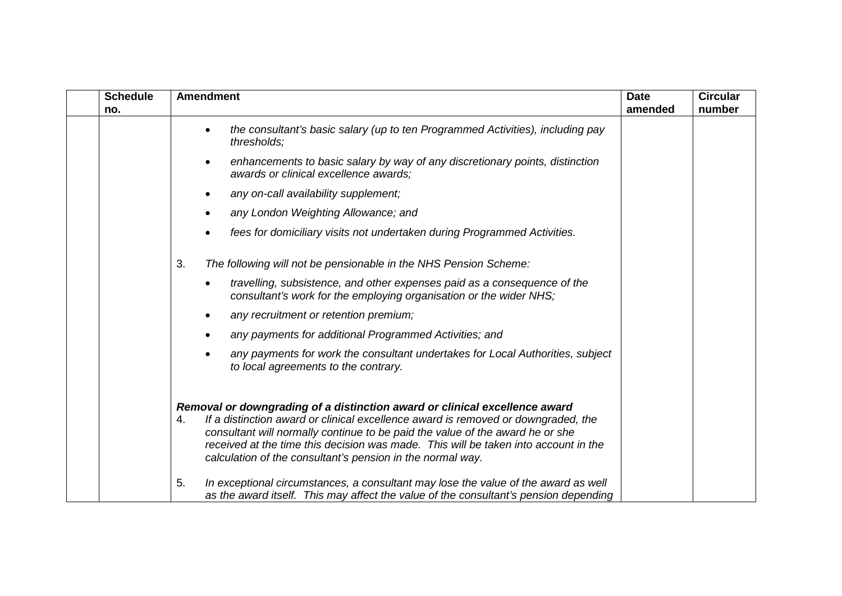| <b>Schedule</b> | <b>Amendment</b>                                                                                                                                                                                                                                                                                                                                                                                            | <b>Date</b> | <b>Circular</b> |
|-----------------|-------------------------------------------------------------------------------------------------------------------------------------------------------------------------------------------------------------------------------------------------------------------------------------------------------------------------------------------------------------------------------------------------------------|-------------|-----------------|
| no.             |                                                                                                                                                                                                                                                                                                                                                                                                             | amended     | number          |
|                 | the consultant's basic salary (up to ten Programmed Activities), including pay<br>٠<br>thresholds;                                                                                                                                                                                                                                                                                                          |             |                 |
|                 | enhancements to basic salary by way of any discretionary points, distinction<br>$\bullet$<br>awards or clinical excellence awards;                                                                                                                                                                                                                                                                          |             |                 |
|                 | any on-call availability supplement;                                                                                                                                                                                                                                                                                                                                                                        |             |                 |
|                 | any London Weighting Allowance; and<br>$\bullet$                                                                                                                                                                                                                                                                                                                                                            |             |                 |
|                 | fees for domiciliary visits not undertaken during Programmed Activities.<br>٠                                                                                                                                                                                                                                                                                                                               |             |                 |
|                 | 3.<br>The following will not be pensionable in the NHS Pension Scheme:                                                                                                                                                                                                                                                                                                                                      |             |                 |
|                 | travelling, subsistence, and other expenses paid as a consequence of the<br>٠<br>consultant's work for the employing organisation or the wider NHS;                                                                                                                                                                                                                                                         |             |                 |
|                 | any recruitment or retention premium;                                                                                                                                                                                                                                                                                                                                                                       |             |                 |
|                 | any payments for additional Programmed Activities; and<br>$\bullet$                                                                                                                                                                                                                                                                                                                                         |             |                 |
|                 | any payments for work the consultant undertakes for Local Authorities, subject<br>to local agreements to the contrary.                                                                                                                                                                                                                                                                                      |             |                 |
|                 | Removal or downgrading of a distinction award or clinical excellence award<br>If a distinction award or clinical excellence award is removed or downgraded, the<br>4.<br>consultant will normally continue to be paid the value of the award he or she<br>received at the time this decision was made. This will be taken into account in the<br>calculation of the consultant's pension in the normal way. |             |                 |
|                 | 5.<br>In exceptional circumstances, a consultant may lose the value of the award as well<br>as the award itself. This may affect the value of the consultant's pension depending                                                                                                                                                                                                                            |             |                 |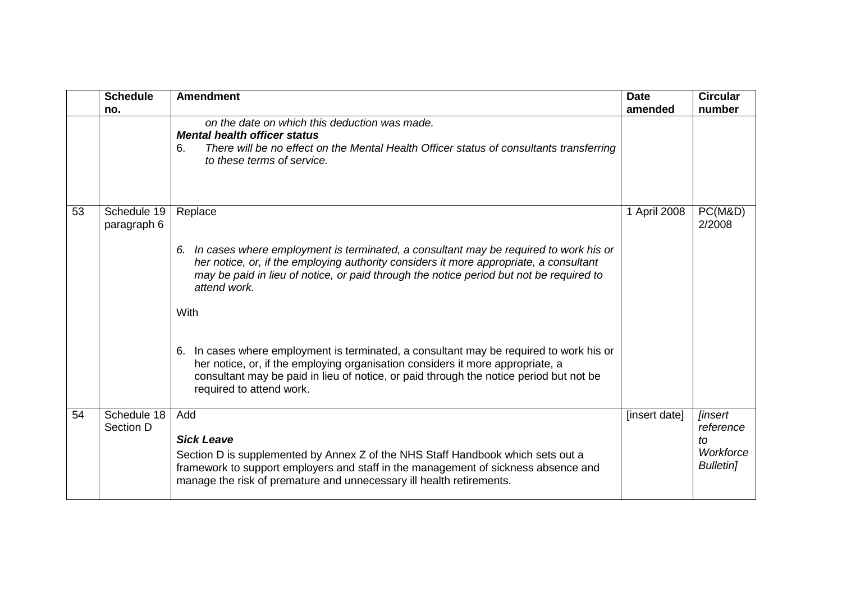|    | <b>Schedule</b><br>no.     | <b>Amendment</b>                                                                                                                                                                                                                                                                                                                                                                                                                                                                                                                                                                                                         | <b>Date</b><br>amended | <b>Circular</b><br>number                                          |
|----|----------------------------|--------------------------------------------------------------------------------------------------------------------------------------------------------------------------------------------------------------------------------------------------------------------------------------------------------------------------------------------------------------------------------------------------------------------------------------------------------------------------------------------------------------------------------------------------------------------------------------------------------------------------|------------------------|--------------------------------------------------------------------|
|    |                            | on the date on which this deduction was made.<br><b>Mental health officer status</b><br>There will be no effect on the Mental Health Officer status of consultants transferring<br>6.<br>to these terms of service.                                                                                                                                                                                                                                                                                                                                                                                                      |                        |                                                                    |
| 53 | Schedule 19<br>paragraph 6 | Replace<br>In cases where employment is terminated, a consultant may be required to work his or<br>6.<br>her notice, or, if the employing authority considers it more appropriate, a consultant<br>may be paid in lieu of notice, or paid through the notice period but not be required to<br>attend work.<br>With<br>In cases where employment is terminated, a consultant may be required to work his or<br>6.<br>her notice, or, if the employing organisation considers it more appropriate, a<br>consultant may be paid in lieu of notice, or paid through the notice period but not be<br>required to attend work. | 1 April 2008           | PC(M&D)<br>2/2008                                                  |
| 54 | Schedule 18<br>Section D   | Add<br><b>Sick Leave</b><br>Section D is supplemented by Annex Z of the NHS Staff Handbook which sets out a<br>framework to support employers and staff in the management of sickness absence and<br>manage the risk of premature and unnecessary ill health retirements.                                                                                                                                                                                                                                                                                                                                                | [insert date]          | <b>linsert</b><br>reference<br>to<br>Workforce<br><b>Bulletin]</b> |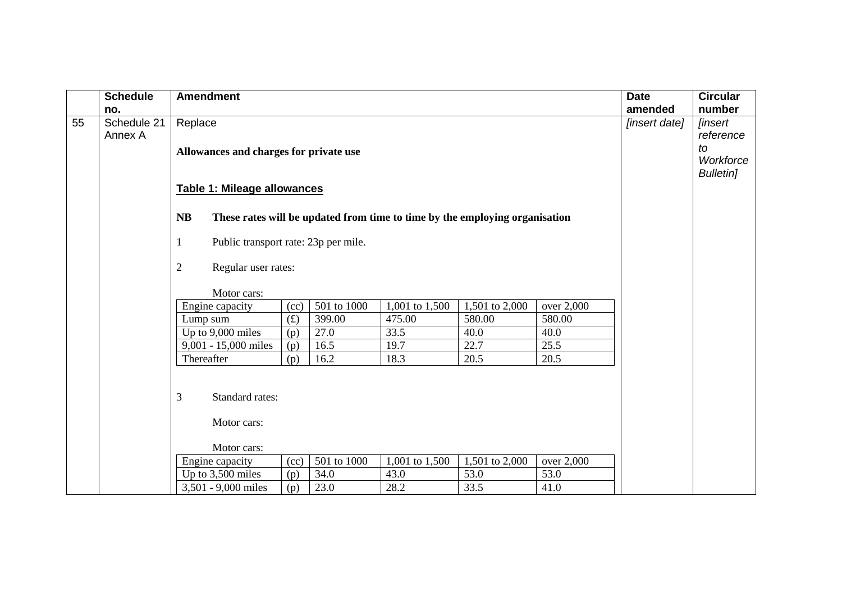|    | <b>Schedule</b> | <b>Amendment</b>                          |      |             |                                                                             |                |            | <b>Date</b>   | <b>Circular</b>       |
|----|-----------------|-------------------------------------------|------|-------------|-----------------------------------------------------------------------------|----------------|------------|---------------|-----------------------|
|    | no.             |                                           |      |             |                                                                             |                |            | amended       | number                |
| 55 | Schedule 21     | Replace                                   |      |             |                                                                             |                |            | [insert date] | <i><b>[insert</b></i> |
|    | Annex A         |                                           |      |             |                                                                             |                |            |               | reference             |
|    |                 | Allowances and charges for private use    |      |             |                                                                             |                |            |               | to                    |
|    |                 |                                           |      |             |                                                                             |                |            |               | Workforce             |
|    |                 |                                           |      |             |                                                                             |                |            |               | <b>Bulletin]</b>      |
|    |                 | Table 1: Mileage allowances               |      |             |                                                                             |                |            |               |                       |
|    |                 |                                           |      |             |                                                                             |                |            |               |                       |
|    |                 | <b>NB</b>                                 |      |             | These rates will be updated from time to time by the employing organisation |                |            |               |                       |
|    |                 | Public transport rate: 23p per mile.<br>1 |      |             |                                                                             |                |            |               |                       |
|    |                 |                                           |      |             |                                                                             |                |            |               |                       |
|    |                 | $\overline{c}$<br>Regular user rates:     |      |             |                                                                             |                |            |               |                       |
|    |                 |                                           |      |             |                                                                             |                |            |               |                       |
|    |                 | Motor cars:                               |      |             |                                                                             |                |            |               |                       |
|    |                 | Engine capacity                           | (cc) | 501 to 1000 | 1,001 to 1,500                                                              | 1,501 to 2,000 | over 2,000 |               |                       |
|    |                 | Lump sum                                  | (f)  | 399.00      | 475.00                                                                      | 580.00         | 580.00     |               |                       |
|    |                 | Up to 9,000 miles                         | (p)  | 27.0        | 33.5                                                                        | 40.0           | 40.0       |               |                       |
|    |                 | 9,001 - 15,000 miles                      | (p)  | 16.5        | 19.7                                                                        | 22.7           | 25.5       |               |                       |
|    |                 | Thereafter                                | (p)  | 16.2        | 18.3                                                                        | 20.5           | 20.5       |               |                       |
|    |                 |                                           |      |             |                                                                             |                |            |               |                       |
|    |                 | 3<br>Standard rates:                      |      |             |                                                                             |                |            |               |                       |
|    |                 |                                           |      |             |                                                                             |                |            |               |                       |
|    |                 | Motor cars:                               |      |             |                                                                             |                |            |               |                       |
|    |                 |                                           |      |             |                                                                             |                |            |               |                       |
|    |                 | Motor cars:                               |      |             |                                                                             |                |            |               |                       |
|    |                 | Engine capacity                           | (cc) | 501 to 1000 | 1,001 to 1,500                                                              | 1,501 to 2,000 | over 2,000 |               |                       |
|    |                 | Up to 3,500 miles                         | (p)  | 34.0        | 43.0                                                                        | 53.0           | 53.0       |               |                       |
|    |                 | 3,501 - 9,000 miles                       | (p)  | 23.0        | 28.2                                                                        | 33.5           | 41.0       |               |                       |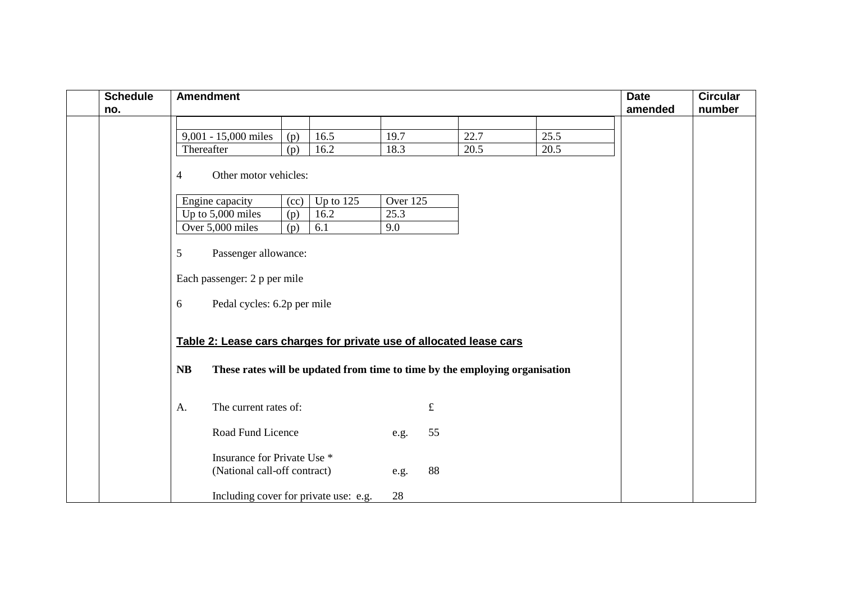| <b>Schedule</b><br>no. |    | <b>Amendment</b>                                                    |      |                                                                             |          |           |      |      | <b>Date</b><br>amended | <b>Circular</b><br>number |
|------------------------|----|---------------------------------------------------------------------|------|-----------------------------------------------------------------------------|----------|-----------|------|------|------------------------|---------------------------|
|                        |    | 9,001 - 15,000 miles                                                | (p)  | 16.5                                                                        | 19.7     |           | 22.7 | 25.5 |                        |                           |
|                        |    | Thereafter                                                          | (p)  | 16.2                                                                        | 18.3     |           | 20.5 | 20.5 |                        |                           |
|                        | 4  | Other motor vehicles:                                               |      |                                                                             |          |           |      |      |                        |                           |
|                        |    | Engine capacity                                                     | (cc) | Up to $12\overline{5}$                                                      | Over 125 |           |      |      |                        |                           |
|                        |    | Up to 5,000 miles                                                   | (p)  | 16.2                                                                        | 25.3     |           |      |      |                        |                           |
|                        |    | Over 5,000 miles                                                    | (p)  | 6.1                                                                         | 9.0      |           |      |      |                        |                           |
|                        | 5  | Passenger allowance:                                                |      |                                                                             |          |           |      |      |                        |                           |
|                        |    | Each passenger: 2 p per mile                                        |      |                                                                             |          |           |      |      |                        |                           |
|                        | 6  | Pedal cycles: 6.2p per mile                                         |      |                                                                             |          |           |      |      |                        |                           |
|                        |    | Table 2: Lease cars charges for private use of allocated lease cars |      |                                                                             |          |           |      |      |                        |                           |
|                        | NB |                                                                     |      | These rates will be updated from time to time by the employing organisation |          |           |      |      |                        |                           |
|                        | A. | The current rates of:                                               |      |                                                                             |          | $\pounds$ |      |      |                        |                           |
|                        |    | Road Fund Licence                                                   |      |                                                                             | e.g.     | 55        |      |      |                        |                           |
|                        |    | Insurance for Private Use *<br>(National call-off contract)         |      |                                                                             | e.g.     | 88        |      |      |                        |                           |
|                        |    | Including cover for private use: e.g.                               |      |                                                                             | 28       |           |      |      |                        |                           |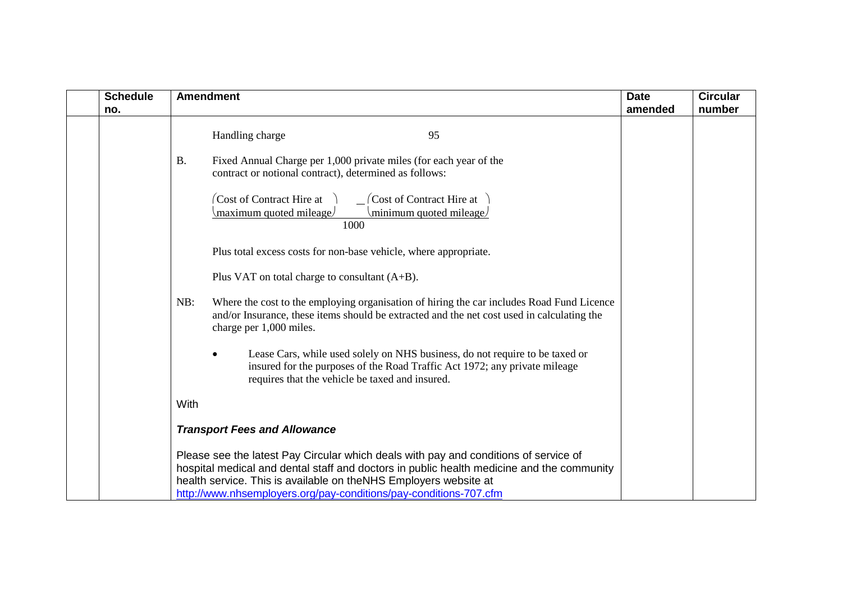| <b>Schedule</b><br>no. | <b>Amendment</b>                                                                                                                                                                                                                                                                                                           | <b>Date</b><br>amended | <b>Circular</b><br>number |
|------------------------|----------------------------------------------------------------------------------------------------------------------------------------------------------------------------------------------------------------------------------------------------------------------------------------------------------------------------|------------------------|---------------------------|
|                        | 95<br>Handling charge                                                                                                                                                                                                                                                                                                      |                        |                           |
|                        | <b>B.</b><br>Fixed Annual Charge per 1,000 private miles (for each year of the<br>contract or notional contract), determined as follows:                                                                                                                                                                                   |                        |                           |
|                        | Cost of Contract Hire at<br>$\int$ Cost of Contract Hire at<br>minimum quoted mileage<br>(maximum quoted mileage)<br>1000                                                                                                                                                                                                  |                        |                           |
|                        | Plus total excess costs for non-base vehicle, where appropriate.                                                                                                                                                                                                                                                           |                        |                           |
|                        | Plus VAT on total charge to consultant $(A+B)$ .                                                                                                                                                                                                                                                                           |                        |                           |
|                        | Where the cost to the employing organisation of hiring the car includes Road Fund Licence<br>NB:<br>and/or Insurance, these items should be extracted and the net cost used in calculating the<br>charge per 1,000 miles.                                                                                                  |                        |                           |
|                        | Lease Cars, while used solely on NHS business, do not require to be taxed or<br>insured for the purposes of the Road Traffic Act 1972; any private mileage<br>requires that the vehicle be taxed and insured.                                                                                                              |                        |                           |
|                        | With                                                                                                                                                                                                                                                                                                                       |                        |                           |
|                        | <b>Transport Fees and Allowance</b>                                                                                                                                                                                                                                                                                        |                        |                           |
|                        | Please see the latest Pay Circular which deals with pay and conditions of service of<br>hospital medical and dental staff and doctors in public health medicine and the community<br>health service. This is available on theNHS Employers website at<br>http://www.nhsemployers.org/pay-conditions/pay-conditions-707.cfm |                        |                           |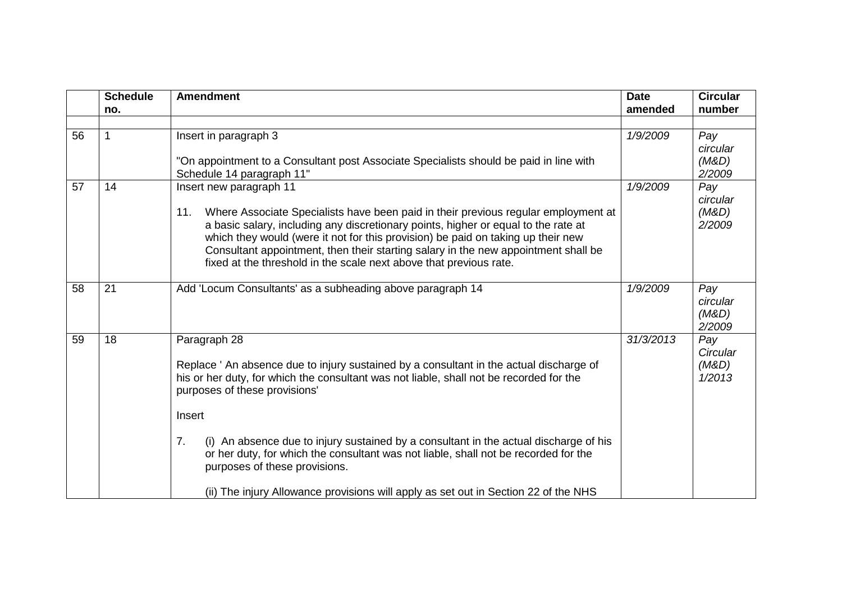|    | <b>Schedule</b> | <b>Amendment</b>                                                                                                                                                                                                                                                                                                                                                                                                                                           | <b>Date</b> | <b>Circular</b>                    |
|----|-----------------|------------------------------------------------------------------------------------------------------------------------------------------------------------------------------------------------------------------------------------------------------------------------------------------------------------------------------------------------------------------------------------------------------------------------------------------------------------|-------------|------------------------------------|
|    | no.             |                                                                                                                                                                                                                                                                                                                                                                                                                                                            | amended     | number                             |
| 56 | 1               | Insert in paragraph 3<br>"On appointment to a Consultant post Associate Specialists should be paid in line with<br>Schedule 14 paragraph 11"                                                                                                                                                                                                                                                                                                               | 1/9/2009    | Pay<br>circular<br>(M&D)<br>2/2009 |
| 57 | 14              | Insert new paragraph 11<br>Where Associate Specialists have been paid in their previous regular employment at<br>11.<br>a basic salary, including any discretionary points, higher or equal to the rate at<br>which they would (were it not for this provision) be paid on taking up their new<br>Consultant appointment, then their starting salary in the new appointment shall be<br>fixed at the threshold in the scale next above that previous rate. | 1/9/2009    | Pay<br>circular<br>(M&D)<br>2/2009 |
| 58 | 21              | Add 'Locum Consultants' as a subheading above paragraph 14                                                                                                                                                                                                                                                                                                                                                                                                 | 1/9/2009    | Pay<br>circular<br>(M&D)<br>2/2009 |
| 59 | 18              | Paragraph 28<br>Replace ' An absence due to injury sustained by a consultant in the actual discharge of<br>his or her duty, for which the consultant was not liable, shall not be recorded for the<br>purposes of these provisions'<br>Insert                                                                                                                                                                                                              | 31/3/2013   | Pay<br>Circular<br>(M&D)<br>1/2013 |
|    |                 | 7.<br>(i) An absence due to injury sustained by a consultant in the actual discharge of his<br>or her duty, for which the consultant was not liable, shall not be recorded for the<br>purposes of these provisions.<br>(ii) The injury Allowance provisions will apply as set out in Section 22 of the NHS                                                                                                                                                 |             |                                    |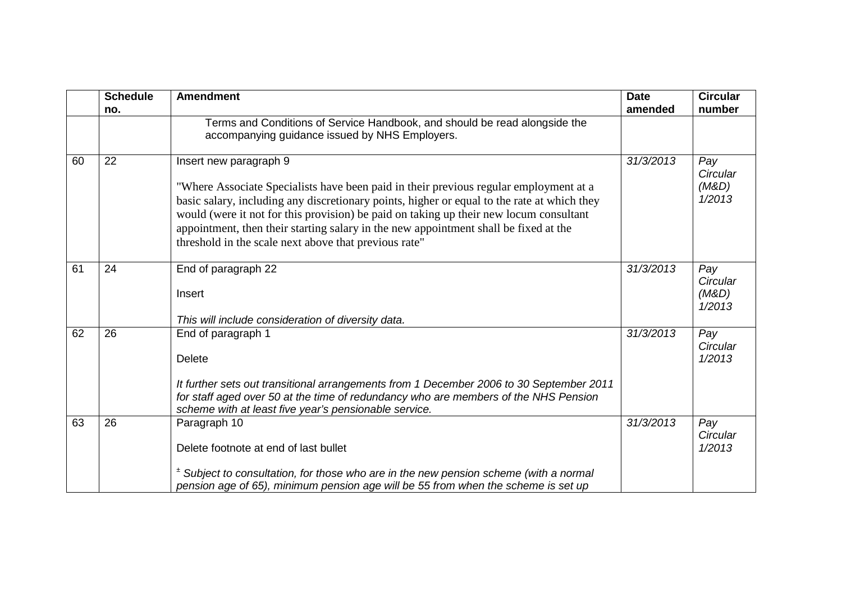|    | <b>Schedule</b><br>no. | <b>Amendment</b>                                                                                                                                                                                                                                                                                                                                                                                                                                          | <b>Date</b><br>amended | <b>Circular</b><br>number          |
|----|------------------------|-----------------------------------------------------------------------------------------------------------------------------------------------------------------------------------------------------------------------------------------------------------------------------------------------------------------------------------------------------------------------------------------------------------------------------------------------------------|------------------------|------------------------------------|
|    |                        | Terms and Conditions of Service Handbook, and should be read alongside the<br>accompanying guidance issued by NHS Employers.                                                                                                                                                                                                                                                                                                                              |                        |                                    |
| 60 | 22                     | Insert new paragraph 9<br>"Where Associate Specialists have been paid in their previous regular employment at a<br>basic salary, including any discretionary points, higher or equal to the rate at which they<br>would (were it not for this provision) be paid on taking up their new locum consultant<br>appointment, then their starting salary in the new appointment shall be fixed at the<br>threshold in the scale next above that previous rate" | 31/3/2013              | Pay<br>Circular<br>(M&D)<br>1/2013 |
| 61 | 24                     | End of paragraph 22<br>Insert<br>This will include consideration of diversity data.                                                                                                                                                                                                                                                                                                                                                                       | 31/3/2013              | Pay<br>Circular<br>(M&D)<br>1/2013 |
| 62 | 26                     | End of paragraph 1<br><b>Delete</b><br>It further sets out transitional arrangements from 1 December 2006 to 30 September 2011<br>for staff aged over 50 at the time of redundancy who are members of the NHS Pension<br>scheme with at least five year's pensionable service.                                                                                                                                                                            | 31/3/2013              | Pay<br>Circular<br>1/2013          |
| 63 | 26                     | Paragraph 10<br>Delete footnote at end of last bullet<br>$2$ Subject to consultation, for those who are in the new pension scheme (with a normal<br>pension age of 65), minimum pension age will be 55 from when the scheme is set up                                                                                                                                                                                                                     | 31/3/2013              | Pay<br>Circular<br>1/2013          |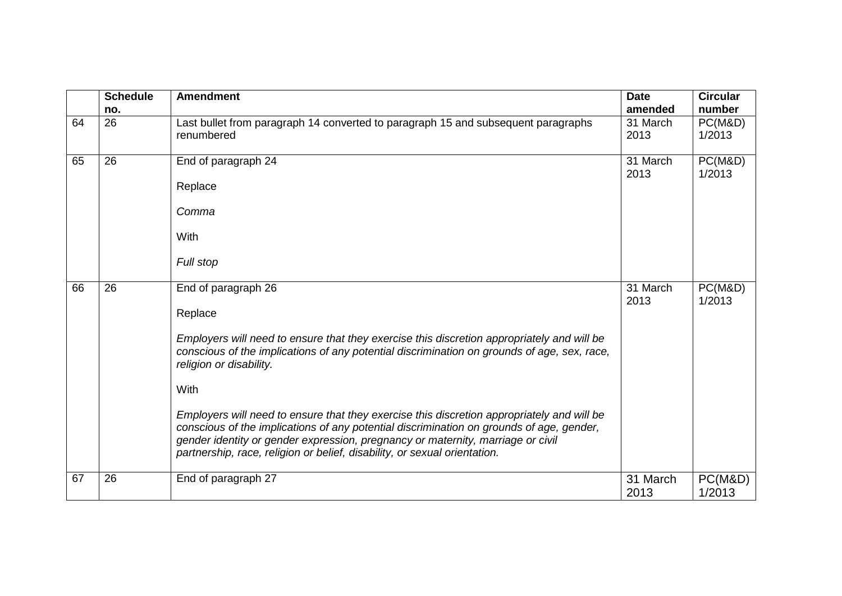|    | <b>Schedule</b> | <b>Amendment</b>                                                                                                                                                                                                                                                                                                                                       | <b>Date</b>      | <b>Circular</b>   |
|----|-----------------|--------------------------------------------------------------------------------------------------------------------------------------------------------------------------------------------------------------------------------------------------------------------------------------------------------------------------------------------------------|------------------|-------------------|
|    | no.             |                                                                                                                                                                                                                                                                                                                                                        | amended          | number            |
| 64 | 26              | Last bullet from paragraph 14 converted to paragraph 15 and subsequent paragraphs<br>renumbered                                                                                                                                                                                                                                                        | 31 March<br>2013 | PC(M&D)<br>1/2013 |
| 65 | 26              | End of paragraph 24                                                                                                                                                                                                                                                                                                                                    | 31 March<br>2013 | PC(M&D)<br>1/2013 |
|    |                 | Replace                                                                                                                                                                                                                                                                                                                                                |                  |                   |
|    |                 | Comma                                                                                                                                                                                                                                                                                                                                                  |                  |                   |
|    |                 | With                                                                                                                                                                                                                                                                                                                                                   |                  |                   |
|    |                 | Full stop                                                                                                                                                                                                                                                                                                                                              |                  |                   |
| 66 | 26              | End of paragraph 26                                                                                                                                                                                                                                                                                                                                    | 31 March<br>2013 | PC(M&D)<br>1/2013 |
|    |                 | Replace                                                                                                                                                                                                                                                                                                                                                |                  |                   |
|    |                 | Employers will need to ensure that they exercise this discretion appropriately and will be<br>conscious of the implications of any potential discrimination on grounds of age, sex, race,<br>religion or disability.                                                                                                                                   |                  |                   |
|    |                 | With                                                                                                                                                                                                                                                                                                                                                   |                  |                   |
|    |                 | Employers will need to ensure that they exercise this discretion appropriately and will be<br>conscious of the implications of any potential discrimination on grounds of age, gender,<br>gender identity or gender expression, pregnancy or maternity, marriage or civil<br>partnership, race, religion or belief, disability, or sexual orientation. |                  |                   |
| 67 | 26              | End of paragraph 27                                                                                                                                                                                                                                                                                                                                    | 31 March<br>2013 | PC(M&D)<br>1/2013 |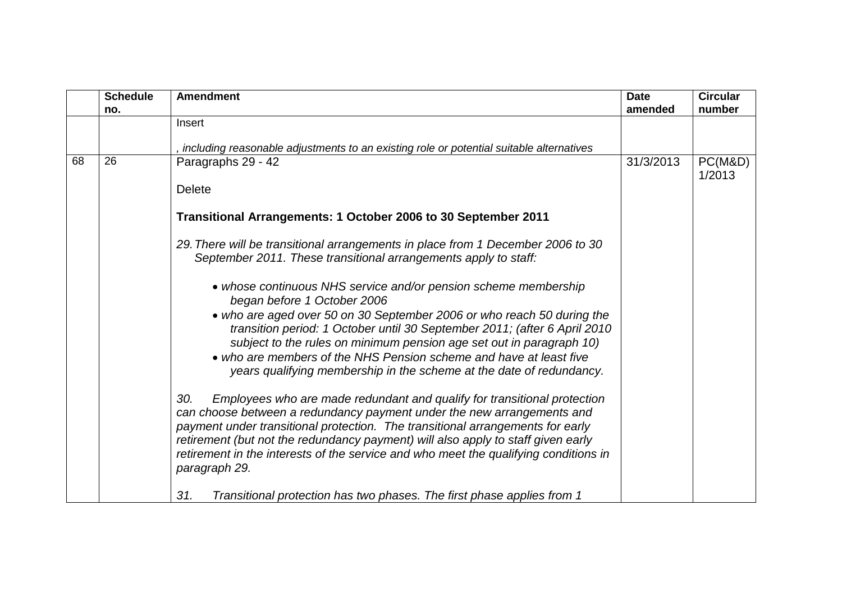|    | <b>Schedule</b> | <b>Amendment</b>                                                                                                                                                                                                                                                                                                                                                                                                        | <b>Date</b> | <b>Circular</b>   |
|----|-----------------|-------------------------------------------------------------------------------------------------------------------------------------------------------------------------------------------------------------------------------------------------------------------------------------------------------------------------------------------------------------------------------------------------------------------------|-------------|-------------------|
|    | no.             |                                                                                                                                                                                                                                                                                                                                                                                                                         | amended     | number            |
|    |                 | Insert                                                                                                                                                                                                                                                                                                                                                                                                                  |             |                   |
|    |                 | including reasonable adjustments to an existing role or potential suitable alternatives                                                                                                                                                                                                                                                                                                                                 |             |                   |
| 68 | 26              | Paragraphs 29 - 42                                                                                                                                                                                                                                                                                                                                                                                                      | 31/3/2013   | PC(M&D)<br>1/2013 |
|    |                 | <b>Delete</b>                                                                                                                                                                                                                                                                                                                                                                                                           |             |                   |
|    |                 | Transitional Arrangements: 1 October 2006 to 30 September 2011                                                                                                                                                                                                                                                                                                                                                          |             |                   |
|    |                 | 29. There will be transitional arrangements in place from 1 December 2006 to 30<br>September 2011. These transitional arrangements apply to staff:                                                                                                                                                                                                                                                                      |             |                   |
|    |                 | • whose continuous NHS service and/or pension scheme membership<br>began before 1 October 2006                                                                                                                                                                                                                                                                                                                          |             |                   |
|    |                 | • who are aged over 50 on 30 September 2006 or who reach 50 during the<br>transition period: 1 October until 30 September 2011; (after 6 April 2010<br>subject to the rules on minimum pension age set out in paragraph 10)<br>• who are members of the NHS Pension scheme and have at least five                                                                                                                       |             |                   |
|    |                 | years qualifying membership in the scheme at the date of redundancy.                                                                                                                                                                                                                                                                                                                                                    |             |                   |
|    |                 | Employees who are made redundant and qualify for transitional protection<br>30.<br>can choose between a redundancy payment under the new arrangements and<br>payment under transitional protection. The transitional arrangements for early<br>retirement (but not the redundancy payment) will also apply to staff given early<br>retirement in the interests of the service and who meet the qualifying conditions in |             |                   |
|    |                 | paragraph 29.<br>31.<br>Transitional protection has two phases. The first phase applies from 1                                                                                                                                                                                                                                                                                                                          |             |                   |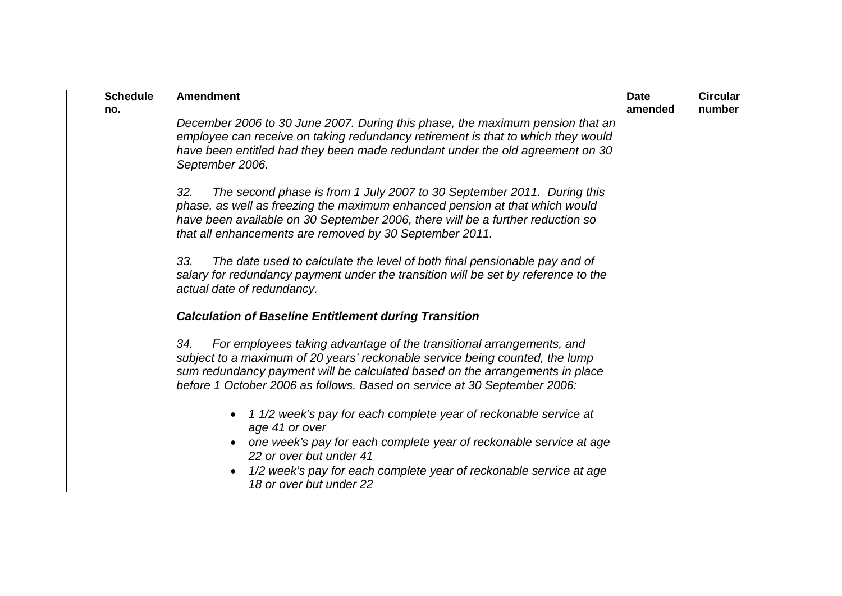| <b>Schedule</b> | <b>Amendment</b>                                                                                                                                                                                                                                                                                                        | <b>Date</b> | <b>Circular</b> |
|-----------------|-------------------------------------------------------------------------------------------------------------------------------------------------------------------------------------------------------------------------------------------------------------------------------------------------------------------------|-------------|-----------------|
| no.             |                                                                                                                                                                                                                                                                                                                         | amended     | number          |
|                 | December 2006 to 30 June 2007. During this phase, the maximum pension that an<br>employee can receive on taking redundancy retirement is that to which they would<br>have been entitled had they been made redundant under the old agreement on 30<br>September 2006.                                                   |             |                 |
|                 | The second phase is from 1 July 2007 to 30 September 2011. During this<br>32.<br>phase, as well as freezing the maximum enhanced pension at that which would<br>have been available on 30 September 2006, there will be a further reduction so<br>that all enhancements are removed by 30 September 2011.               |             |                 |
|                 | The date used to calculate the level of both final pensionable pay and of<br>33.<br>salary for redundancy payment under the transition will be set by reference to the<br>actual date of redundancy.                                                                                                                    |             |                 |
|                 | <b>Calculation of Baseline Entitlement during Transition</b>                                                                                                                                                                                                                                                            |             |                 |
|                 | For employees taking advantage of the transitional arrangements, and<br>34.<br>subject to a maximum of 20 years' reckonable service being counted, the lump<br>sum redundancy payment will be calculated based on the arrangements in place<br>before 1 October 2006 as follows. Based on service at 30 September 2006: |             |                 |
|                 | 1 1/2 week's pay for each complete year of reckonable service at<br>age 41 or over                                                                                                                                                                                                                                      |             |                 |
|                 | one week's pay for each complete year of reckonable service at age<br>22 or over but under 41                                                                                                                                                                                                                           |             |                 |
|                 | 1/2 week's pay for each complete year of reckonable service at age<br>18 or over but under 22                                                                                                                                                                                                                           |             |                 |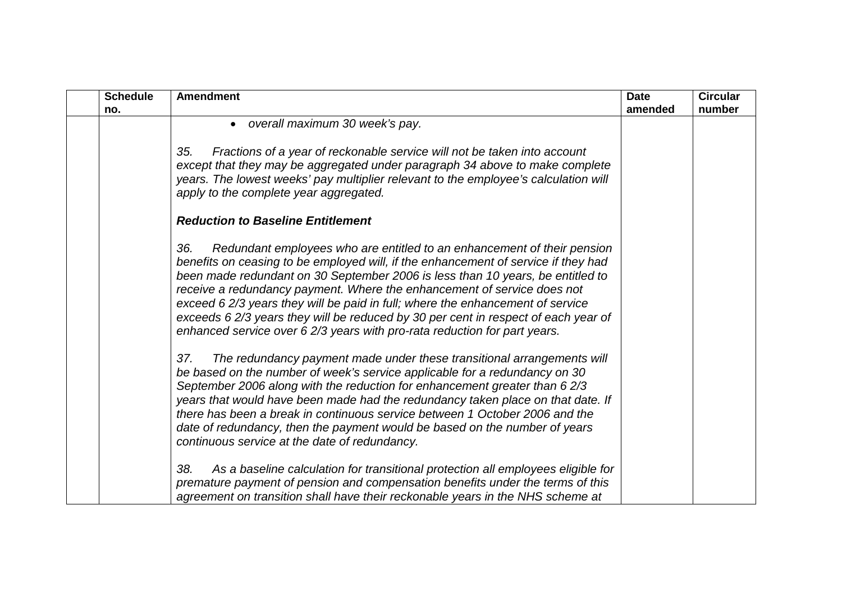| <b>Schedule</b> | <b>Amendment</b>                                                                                                                                                                                                                                                                                                                                                                                                                                                                                                                                                                       | <b>Date</b> | <b>Circular</b> |
|-----------------|----------------------------------------------------------------------------------------------------------------------------------------------------------------------------------------------------------------------------------------------------------------------------------------------------------------------------------------------------------------------------------------------------------------------------------------------------------------------------------------------------------------------------------------------------------------------------------------|-------------|-----------------|
| no.             | overall maximum 30 week's pay.<br>$\bullet$                                                                                                                                                                                                                                                                                                                                                                                                                                                                                                                                            | amended     | number          |
|                 |                                                                                                                                                                                                                                                                                                                                                                                                                                                                                                                                                                                        |             |                 |
|                 | Fractions of a year of reckonable service will not be taken into account<br>35.<br>except that they may be aggregated under paragraph 34 above to make complete                                                                                                                                                                                                                                                                                                                                                                                                                        |             |                 |
|                 | years. The lowest weeks' pay multiplier relevant to the employee's calculation will<br>apply to the complete year aggregated.                                                                                                                                                                                                                                                                                                                                                                                                                                                          |             |                 |
|                 | <b>Reduction to Baseline Entitlement</b>                                                                                                                                                                                                                                                                                                                                                                                                                                                                                                                                               |             |                 |
|                 | 36.<br>Redundant employees who are entitled to an enhancement of their pension<br>benefits on ceasing to be employed will, if the enhancement of service if they had<br>been made redundant on 30 September 2006 is less than 10 years, be entitled to<br>receive a redundancy payment. Where the enhancement of service does not<br>exceed 6 2/3 years they will be paid in full; where the enhancement of service<br>exceeds 6 2/3 years they will be reduced by 30 per cent in respect of each year of<br>enhanced service over 6 2/3 years with pro-rata reduction for part years. |             |                 |
|                 | The redundancy payment made under these transitional arrangements will<br>37.<br>be based on the number of week's service applicable for a redundancy on 30<br>September 2006 along with the reduction for enhancement greater than 6 2/3<br>years that would have been made had the redundancy taken place on that date. If<br>there has been a break in continuous service between 1 October 2006 and the<br>date of redundancy, then the payment would be based on the number of years<br>continuous service at the date of redundancy.                                             |             |                 |
|                 | As a baseline calculation for transitional protection all employees eligible for<br>38.<br>premature payment of pension and compensation benefits under the terms of this<br>agreement on transition shall have their reckonable years in the NHS scheme at                                                                                                                                                                                                                                                                                                                            |             |                 |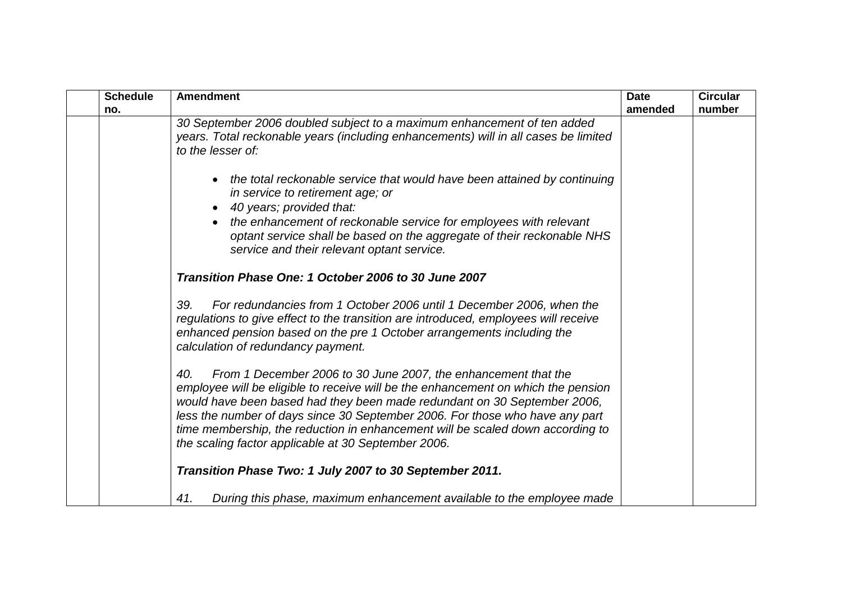| <b>Schedule</b> | <b>Amendment</b>                                                                                                                                                                                                                                                                                                                                                                                                                                                | <b>Date</b> | <b>Circular</b> |
|-----------------|-----------------------------------------------------------------------------------------------------------------------------------------------------------------------------------------------------------------------------------------------------------------------------------------------------------------------------------------------------------------------------------------------------------------------------------------------------------------|-------------|-----------------|
| no.             |                                                                                                                                                                                                                                                                                                                                                                                                                                                                 | amended     | number          |
|                 | 30 September 2006 doubled subject to a maximum enhancement of ten added<br>years. Total reckonable years (including enhancements) will in all cases be limited<br>to the lesser of:                                                                                                                                                                                                                                                                             |             |                 |
|                 | the total reckonable service that would have been attained by continuing<br>in service to retirement age; or<br>40 years; provided that:<br>the enhancement of reckonable service for employees with relevant<br>optant service shall be based on the aggregate of their reckonable NHS                                                                                                                                                                         |             |                 |
|                 | service and their relevant optant service.<br>Transition Phase One: 1 October 2006 to 30 June 2007                                                                                                                                                                                                                                                                                                                                                              |             |                 |
|                 | 39.<br>For redundancies from 1 October 2006 until 1 December 2006, when the<br>regulations to give effect to the transition are introduced, employees will receive<br>enhanced pension based on the pre 1 October arrangements including the<br>calculation of redundancy payment.                                                                                                                                                                              |             |                 |
|                 | From 1 December 2006 to 30 June 2007, the enhancement that the<br>40.<br>employee will be eligible to receive will be the enhancement on which the pension<br>would have been based had they been made redundant on 30 September 2006,<br>less the number of days since 30 September 2006. For those who have any part<br>time membership, the reduction in enhancement will be scaled down according to<br>the scaling factor applicable at 30 September 2006. |             |                 |
|                 | Transition Phase Two: 1 July 2007 to 30 September 2011.                                                                                                                                                                                                                                                                                                                                                                                                         |             |                 |
|                 | 41.<br>During this phase, maximum enhancement available to the employee made                                                                                                                                                                                                                                                                                                                                                                                    |             |                 |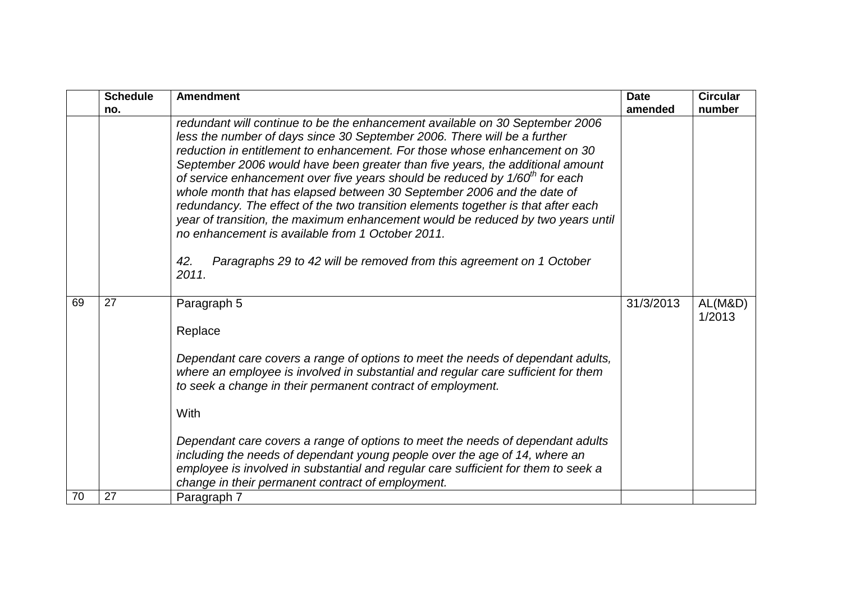|    | <b>Schedule</b> | <b>Amendment</b>                                                                                                                                                                                                                                                                                                                                                                                                                                                                                                                                                                                                                                                                                                                                                                                       | <b>Date</b> | <b>Circular</b>   |
|----|-----------------|--------------------------------------------------------------------------------------------------------------------------------------------------------------------------------------------------------------------------------------------------------------------------------------------------------------------------------------------------------------------------------------------------------------------------------------------------------------------------------------------------------------------------------------------------------------------------------------------------------------------------------------------------------------------------------------------------------------------------------------------------------------------------------------------------------|-------------|-------------------|
|    | no.             |                                                                                                                                                                                                                                                                                                                                                                                                                                                                                                                                                                                                                                                                                                                                                                                                        | amended     | number            |
|    |                 | redundant will continue to be the enhancement available on 30 September 2006<br>less the number of days since 30 September 2006. There will be a further<br>reduction in entitlement to enhancement. For those whose enhancement on 30<br>September 2006 would have been greater than five years, the additional amount<br>of service enhancement over five years should be reduced by $1/60th$ for each<br>whole month that has elapsed between 30 September 2006 and the date of<br>redundancy. The effect of the two transition elements together is that after each<br>year of transition, the maximum enhancement would be reduced by two years until<br>no enhancement is available from 1 October 2011.<br>Paragraphs 29 to 42 will be removed from this agreement on 1 October<br>42.<br>2011. |             |                   |
| 69 | 27              | Paragraph 5<br>Replace<br>Dependant care covers a range of options to meet the needs of dependant adults,<br>where an employee is involved in substantial and regular care sufficient for them<br>to seek a change in their permanent contract of employment.<br><b>With</b><br>Dependant care covers a range of options to meet the needs of dependant adults<br>including the needs of dependant young people over the age of 14, where an<br>employee is involved in substantial and regular care sufficient for them to seek a<br>change in their permanent contract of employment.                                                                                                                                                                                                                | 31/3/2013   | AL(M&D)<br>1/2013 |
| 70 | 27              | Paragraph 7                                                                                                                                                                                                                                                                                                                                                                                                                                                                                                                                                                                                                                                                                                                                                                                            |             |                   |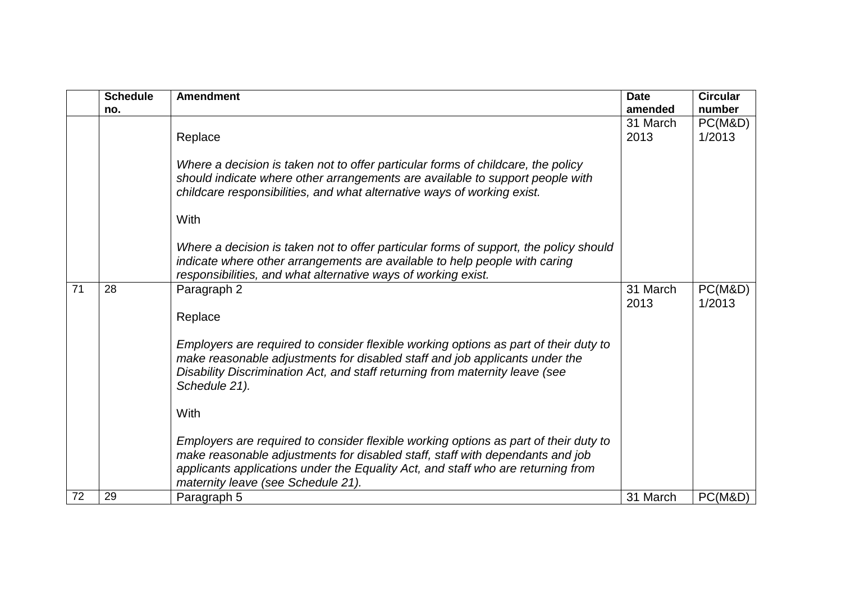|    | <b>Schedule</b> | <b>Amendment</b>                                                                                                                                                                                                                                                                                | <b>Date</b>      | <b>Circular</b>   |
|----|-----------------|-------------------------------------------------------------------------------------------------------------------------------------------------------------------------------------------------------------------------------------------------------------------------------------------------|------------------|-------------------|
|    | no.             |                                                                                                                                                                                                                                                                                                 | amended          | number            |
|    |                 |                                                                                                                                                                                                                                                                                                 | 31 March         | PC(M&D)           |
|    |                 | Replace                                                                                                                                                                                                                                                                                         | 2013             | 1/2013            |
|    |                 |                                                                                                                                                                                                                                                                                                 |                  |                   |
|    |                 | Where a decision is taken not to offer particular forms of childcare, the policy<br>should indicate where other arrangements are available to support people with<br>childcare responsibilities, and what alternative ways of working exist.                                                    |                  |                   |
|    |                 | With                                                                                                                                                                                                                                                                                            |                  |                   |
|    |                 | Where a decision is taken not to offer particular forms of support, the policy should<br>indicate where other arrangements are available to help people with caring<br>responsibilities, and what alternative ways of working exist.                                                            |                  |                   |
| 71 | 28              | Paragraph 2                                                                                                                                                                                                                                                                                     | 31 March<br>2013 | PC(M&D)<br>1/2013 |
|    |                 | Replace                                                                                                                                                                                                                                                                                         |                  |                   |
|    |                 | Employers are required to consider flexible working options as part of their duty to<br>make reasonable adjustments for disabled staff and job applicants under the<br>Disability Discrimination Act, and staff returning from maternity leave (see<br>Schedule 21).                            |                  |                   |
|    |                 | With                                                                                                                                                                                                                                                                                            |                  |                   |
|    |                 | Employers are required to consider flexible working options as part of their duty to<br>make reasonable adjustments for disabled staff, staff with dependants and job<br>applicants applications under the Equality Act, and staff who are returning from<br>maternity leave (see Schedule 21). |                  |                   |
| 72 | 29              | Paragraph 5                                                                                                                                                                                                                                                                                     | 31 March         | PC(M&D)           |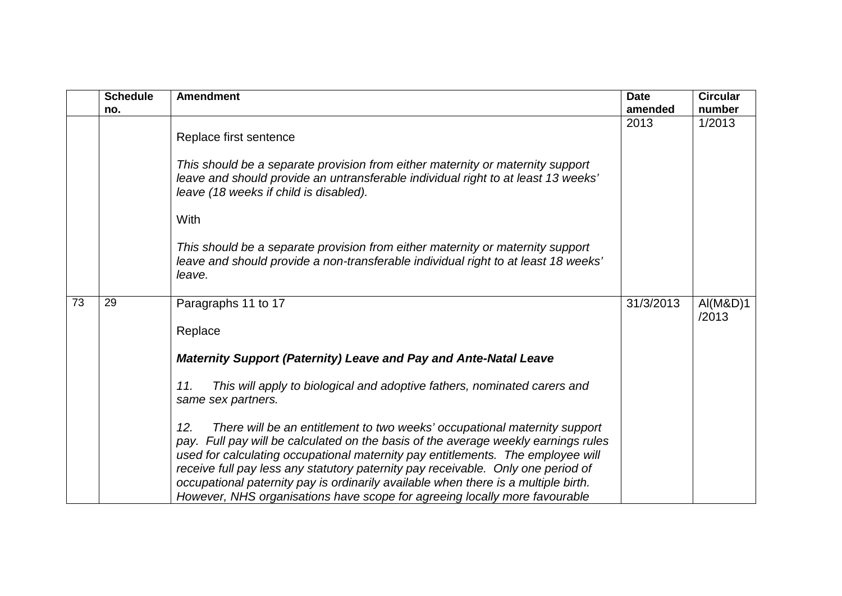|    | <b>Schedule</b><br>no. | <b>Amendment</b>                                                                                                                                                                                                                                                                                                                                                                                                                                                                                                  | <b>Date</b><br>amended | <b>Circular</b><br>number |
|----|------------------------|-------------------------------------------------------------------------------------------------------------------------------------------------------------------------------------------------------------------------------------------------------------------------------------------------------------------------------------------------------------------------------------------------------------------------------------------------------------------------------------------------------------------|------------------------|---------------------------|
|    |                        | Replace first sentence                                                                                                                                                                                                                                                                                                                                                                                                                                                                                            | 2013                   | 1/2013                    |
|    |                        | This should be a separate provision from either maternity or maternity support<br>leave and should provide an untransferable individual right to at least 13 weeks'<br>leave (18 weeks if child is disabled).                                                                                                                                                                                                                                                                                                     |                        |                           |
|    |                        | With                                                                                                                                                                                                                                                                                                                                                                                                                                                                                                              |                        |                           |
|    |                        | This should be a separate provision from either maternity or maternity support<br>leave and should provide a non-transferable individual right to at least 18 weeks'<br>leave.                                                                                                                                                                                                                                                                                                                                    |                        |                           |
| 73 | 29                     | Paragraphs 11 to 17                                                                                                                                                                                                                                                                                                                                                                                                                                                                                               | 31/3/2013              | AI(M&D)1<br>/2013         |
|    |                        | Replace                                                                                                                                                                                                                                                                                                                                                                                                                                                                                                           |                        |                           |
|    |                        | Maternity Support (Paternity) Leave and Pay and Ante-Natal Leave                                                                                                                                                                                                                                                                                                                                                                                                                                                  |                        |                           |
|    |                        | This will apply to biological and adoptive fathers, nominated carers and<br>11.<br>same sex partners.                                                                                                                                                                                                                                                                                                                                                                                                             |                        |                           |
|    |                        | There will be an entitlement to two weeks' occupational maternity support<br>12.<br>pay. Full pay will be calculated on the basis of the average weekly earnings rules<br>used for calculating occupational maternity pay entitlements. The employee will<br>receive full pay less any statutory paternity pay receivable. Only one period of<br>occupational paternity pay is ordinarily available when there is a multiple birth.<br>However, NHS organisations have scope for agreeing locally more favourable |                        |                           |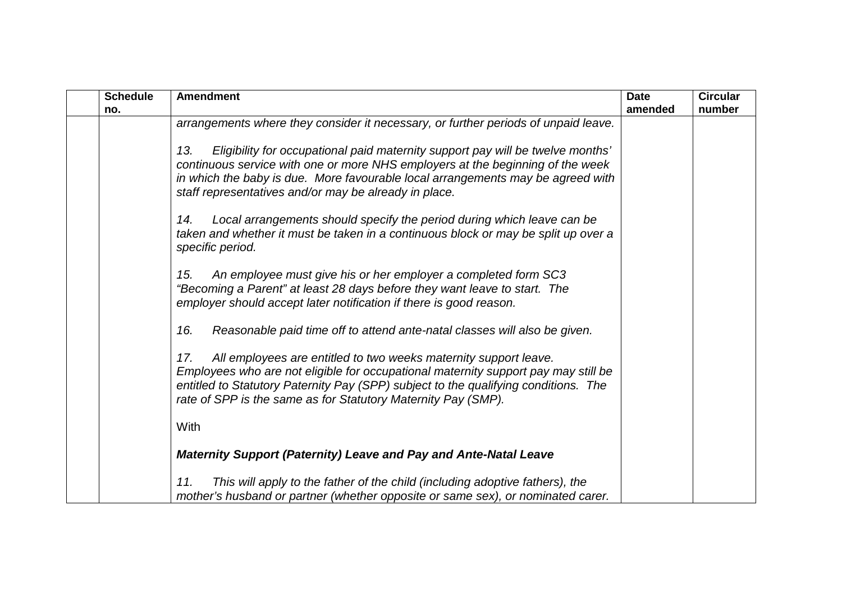| <b>Schedule</b> | <b>Amendment</b>                                                                                                                                                                                                                                                                                                      | <b>Date</b> | <b>Circular</b> |
|-----------------|-----------------------------------------------------------------------------------------------------------------------------------------------------------------------------------------------------------------------------------------------------------------------------------------------------------------------|-------------|-----------------|
| no.             |                                                                                                                                                                                                                                                                                                                       | amended     | number          |
|                 | arrangements where they consider it necessary, or further periods of unpaid leave.                                                                                                                                                                                                                                    |             |                 |
|                 | Eligibility for occupational paid maternity support pay will be twelve months'<br>13.<br>continuous service with one or more NHS employers at the beginning of the week<br>in which the baby is due. More favourable local arrangements may be agreed with<br>staff representatives and/or may be already in place.   |             |                 |
|                 | Local arrangements should specify the period during which leave can be<br>14.<br>taken and whether it must be taken in a continuous block or may be split up over a<br>specific period.                                                                                                                               |             |                 |
|                 | An employee must give his or her employer a completed form SC3<br>15.<br>"Becoming a Parent" at least 28 days before they want leave to start. The<br>employer should accept later notification if there is good reason.                                                                                              |             |                 |
|                 | Reasonable paid time off to attend ante-natal classes will also be given.<br>16.                                                                                                                                                                                                                                      |             |                 |
|                 | All employees are entitled to two weeks maternity support leave.<br>17.<br>Employees who are not eligible for occupational maternity support pay may still be<br>entitled to Statutory Paternity Pay (SPP) subject to the qualifying conditions. The<br>rate of SPP is the same as for Statutory Maternity Pay (SMP). |             |                 |
|                 | With                                                                                                                                                                                                                                                                                                                  |             |                 |
|                 | <b>Maternity Support (Paternity) Leave and Pay and Ante-Natal Leave</b>                                                                                                                                                                                                                                               |             |                 |
|                 | This will apply to the father of the child (including adoptive fathers), the<br>11.<br>mother's husband or partner (whether opposite or same sex), or nominated carer.                                                                                                                                                |             |                 |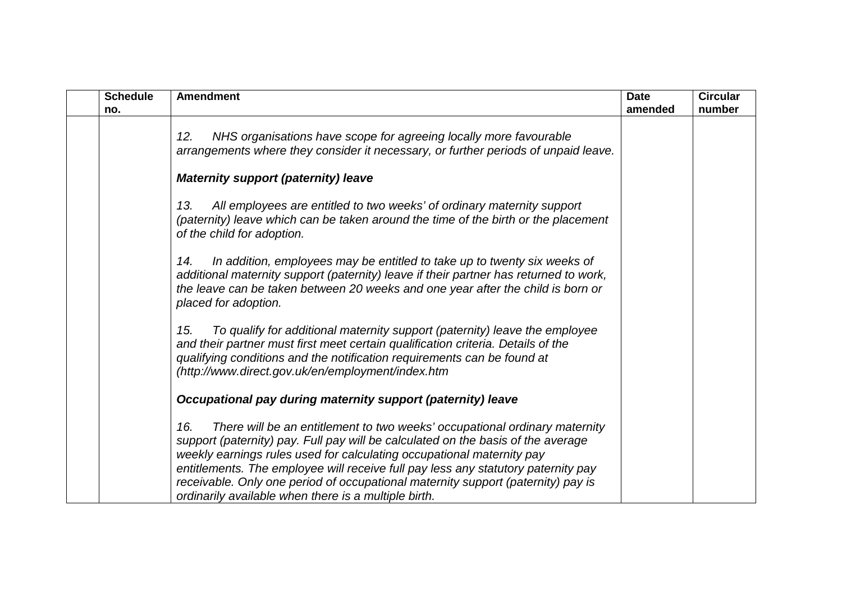| <b>Schedule</b><br>no. | <b>Amendment</b>                                                                                                                                                                                                                                                                                                                                                                                                                                                                | <b>Date</b><br>amended | <b>Circular</b><br>number |
|------------------------|---------------------------------------------------------------------------------------------------------------------------------------------------------------------------------------------------------------------------------------------------------------------------------------------------------------------------------------------------------------------------------------------------------------------------------------------------------------------------------|------------------------|---------------------------|
|                        | NHS organisations have scope for agreeing locally more favourable<br>12.<br>arrangements where they consider it necessary, or further periods of unpaid leave.                                                                                                                                                                                                                                                                                                                  |                        |                           |
|                        | <b>Maternity support (paternity) leave</b>                                                                                                                                                                                                                                                                                                                                                                                                                                      |                        |                           |
|                        | All employees are entitled to two weeks' of ordinary maternity support<br>13.<br>(paternity) leave which can be taken around the time of the birth or the placement<br>of the child for adoption.                                                                                                                                                                                                                                                                               |                        |                           |
|                        | In addition, employees may be entitled to take up to twenty six weeks of<br>14.<br>additional maternity support (paternity) leave if their partner has returned to work,<br>the leave can be taken between 20 weeks and one year after the child is born or<br>placed for adoption.                                                                                                                                                                                             |                        |                           |
|                        | To qualify for additional maternity support (paternity) leave the employee<br>15.<br>and their partner must first meet certain qualification criteria. Details of the<br>qualifying conditions and the notification requirements can be found at<br>(http://www.direct.gov.uk/en/employment/index.htm                                                                                                                                                                           |                        |                           |
|                        | Occupational pay during maternity support (paternity) leave                                                                                                                                                                                                                                                                                                                                                                                                                     |                        |                           |
|                        | There will be an entitlement to two weeks' occupational ordinary maternity<br>16.<br>support (paternity) pay. Full pay will be calculated on the basis of the average<br>weekly earnings rules used for calculating occupational maternity pay<br>entitlements. The employee will receive full pay less any statutory paternity pay<br>receivable. Only one period of occupational maternity support (paternity) pay is<br>ordinarily available when there is a multiple birth. |                        |                           |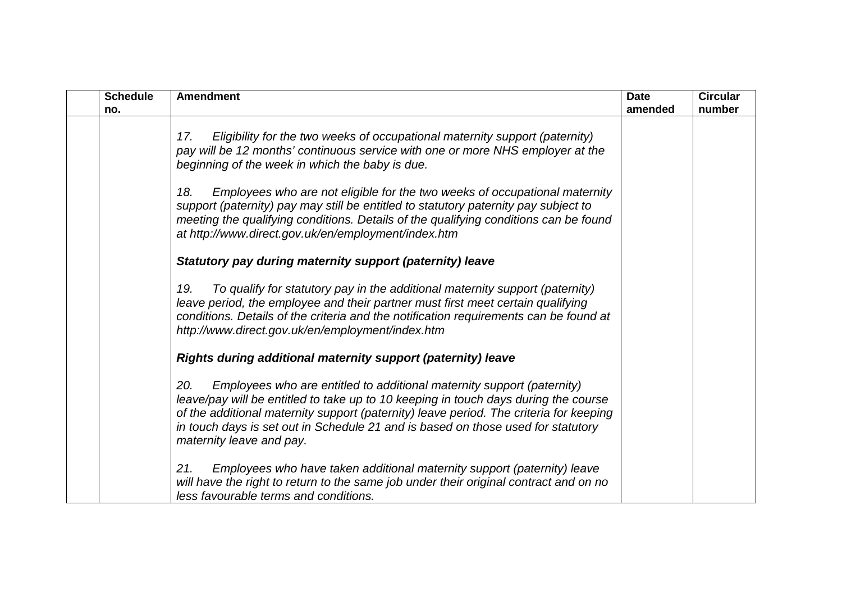| <b>Schedule</b> | <b>Amendment</b>                                                                                                                                                                                                                                                                                                                                                               | <b>Date</b> | <b>Circular</b> |
|-----------------|--------------------------------------------------------------------------------------------------------------------------------------------------------------------------------------------------------------------------------------------------------------------------------------------------------------------------------------------------------------------------------|-------------|-----------------|
| no.             |                                                                                                                                                                                                                                                                                                                                                                                | amended     | number          |
|                 | Eligibility for the two weeks of occupational maternity support (paternity)<br>17.<br>pay will be 12 months' continuous service with one or more NHS employer at the<br>beginning of the week in which the baby is due.                                                                                                                                                        |             |                 |
|                 | Employees who are not eligible for the two weeks of occupational maternity<br>18.<br>support (paternity) pay may still be entitled to statutory paternity pay subject to<br>meeting the qualifying conditions. Details of the qualifying conditions can be found<br>at http://www.direct.gov.uk/en/employment/index.htm                                                        |             |                 |
|                 | Statutory pay during maternity support (paternity) leave                                                                                                                                                                                                                                                                                                                       |             |                 |
|                 | To qualify for statutory pay in the additional maternity support (paternity)<br>19.<br>leave period, the employee and their partner must first meet certain qualifying<br>conditions. Details of the criteria and the notification requirements can be found at<br>http://www.direct.gov.uk/en/employment/index.htm                                                            |             |                 |
|                 | Rights during additional maternity support (paternity) leave                                                                                                                                                                                                                                                                                                                   |             |                 |
|                 | Employees who are entitled to additional maternity support (paternity)<br>20.<br>leave/pay will be entitled to take up to 10 keeping in touch days during the course<br>of the additional maternity support (paternity) leave period. The criteria for keeping<br>in touch days is set out in Schedule 21 and is based on those used for statutory<br>maternity leave and pay. |             |                 |
|                 | 21.<br>Employees who have taken additional maternity support (paternity) leave<br>will have the right to return to the same job under their original contract and on no<br>less favourable terms and conditions.                                                                                                                                                               |             |                 |